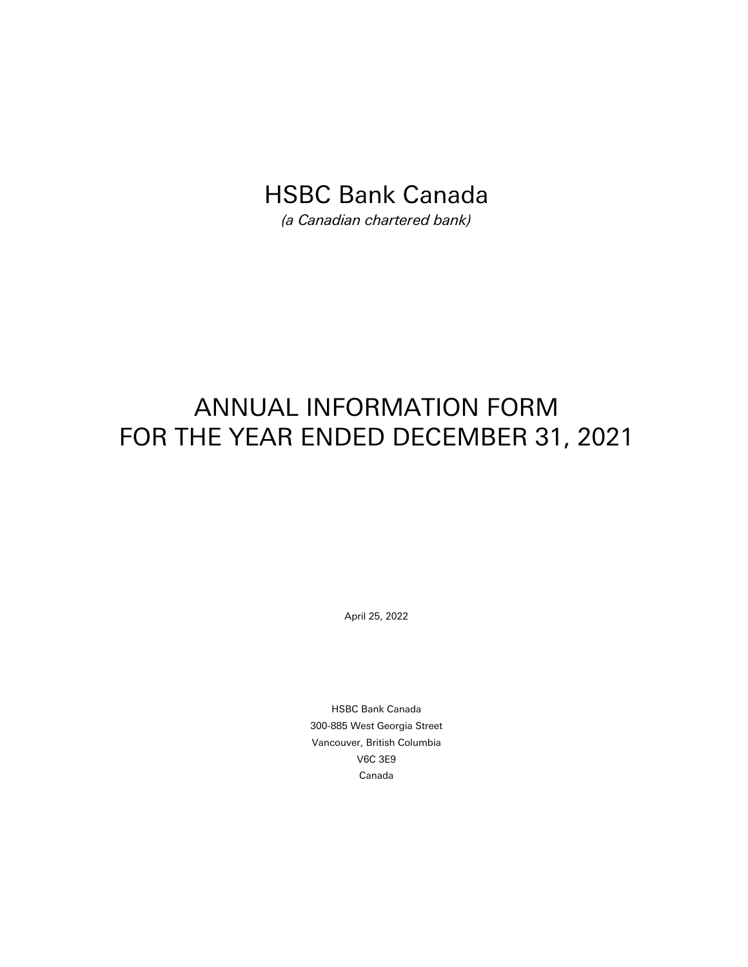# HSBC Bank Canada

*(a Canadian chartered bank)*

# ANNUAL INFORMATION FORM FOR THE YEAR ENDED DECEMBER 31, 2021

April 25, 2022

HSBC Bank Canada 300-885 West Georgia Street Vancouver, British Columbia V6C 3E9 Canada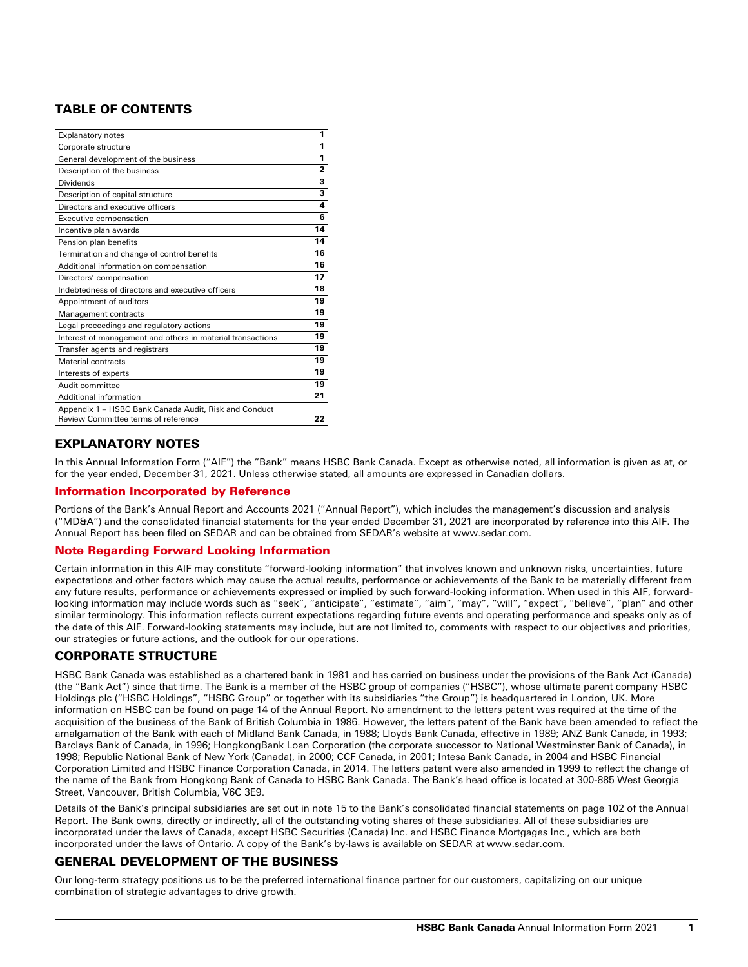# TABLE OF CONTENTS

| <b>Explanatory notes</b>                                                                     | 1                       |
|----------------------------------------------------------------------------------------------|-------------------------|
| Corporate structure                                                                          | 1                       |
| General development of the business                                                          | 1                       |
| Description of the business                                                                  | $\overline{2}$          |
| <b>Dividends</b>                                                                             | 3                       |
| Description of capital structure                                                             | $\overline{\mathbf{3}}$ |
| Directors and executive officers                                                             | 4                       |
| Executive compensation                                                                       | 6                       |
| Incentive plan awards                                                                        | 14                      |
| Pension plan benefits                                                                        | 14                      |
| Termination and change of control benefits                                                   | 16                      |
| Additional information on compensation                                                       | 16                      |
| Directors' compensation                                                                      | 17                      |
| Indebtedness of directors and executive officers                                             | 18                      |
| Appointment of auditors                                                                      | 19                      |
| Management contracts                                                                         | 19                      |
| Legal proceedings and regulatory actions                                                     | 19                      |
| Interest of management and others in material transactions                                   | 19                      |
| Transfer agents and registrars                                                               | 19                      |
| Material contracts                                                                           | 19                      |
| Interests of experts                                                                         | 19                      |
| Audit committee                                                                              | 19                      |
| Additional information                                                                       | 21                      |
| Appendix 1 - HSBC Bank Canada Audit, Risk and Conduct<br>Review Committee terms of reference | 22                      |

# EXPLANATORY NOTES

In this Annual Information Form ("AIF") the "Bank" means HSBC Bank Canada. Except as otherwise noted, all information is given as at, or for the year ended, December 31, 2021. Unless otherwise stated, all amounts are expressed in Canadian dollars.

# Information Incorporated by Reference

Portions of the Bank's Annual Report and Accounts 2021 ("Annual Report"), which includes the management's discussion and analysis ("MD&A") and the consolidated financial statements for the year ended December 31, 2021 are incorporated by reference into this AIF. The Annual Report has been filed on SEDAR and can be obtained from SEDAR's website at www.sedar.com.

# Note Regarding Forward Looking Information

Certain information in this AIF may constitute "forward-looking information" that involves known and unknown risks, uncertainties, future expectations and other factors which may cause the actual results, performance or achievements of the Bank to be materially different from any future results, performance or achievements expressed or implied by such forward-looking information. When used in this AIF, forwardlooking information may include words such as "seek", "anticipate", "estimate", "aim", "may", "will", "expect", "believe", "plan" and other similar terminology. This information reflects current expectations regarding future events and operating performance and speaks only as of the date of this AIF. Forward-looking statements may include, but are not limited to, comments with respect to our objectives and priorities, our strategies or future actions, and the outlook for our operations.

# CORPORATE STRUCTURE

HSBC Bank Canada was established as a chartered bank in 1981 and has carried on business under the provisions of the Bank Act (Canada) (the "Bank Act") since that time. The Bank is a member of the HSBC group of companies ("HSBC"), whose ultimate parent company HSBC Holdings plc ("HSBC Holdings", "HSBC Group" or together with its subsidiaries "the Group") is headquartered in London, UK. More information on HSBC can be found on page 14 of the Annual Report. No amendment to the letters patent was required at the time of the acquisition of the business of the Bank of British Columbia in 1986. However, the letters patent of the Bank have been amended to reflect the amalgamation of the Bank with each of Midland Bank Canada, in 1988; Lloyds Bank Canada, effective in 1989; ANZ Bank Canada, in 1993; Barclays Bank of Canada, in 1996; HongkongBank Loan Corporation (the corporate successor to National Westminster Bank of Canada), in 1998; Republic National Bank of New York (Canada), in 2000; CCF Canada, in 2001; Intesa Bank Canada, in 2004 and HSBC Financial Corporation Limited and HSBC Finance Corporation Canada, in 2014. The letters patent were also amended in 1999 to reflect the change of the name of the Bank from Hongkong Bank of Canada to HSBC Bank Canada. The Bank's head office is located at 300-885 West Georgia Street, Vancouver, British Columbia, V6C 3E9.

Details of the Bank's principal subsidiaries are set out in note 15 to the Bank's consolidated financial statements on page 102 of the Annual Report. The Bank owns, directly or indirectly, all of the outstanding voting shares of these subsidiaries. All of these subsidiaries are incorporated under the laws of Canada, except HSBC Securities (Canada) Inc. and HSBC Finance Mortgages Inc., which are both incorporated under the laws of Ontario. A copy of the Bank's by-laws is available on SEDAR at www.sedar.com.

# GENERAL DEVELOPMENT OF THE BUSINESS

Our long-term strategy positions us to be the preferred international finance partner for our customers, capitalizing on our unique combination of strategic advantages to drive growth.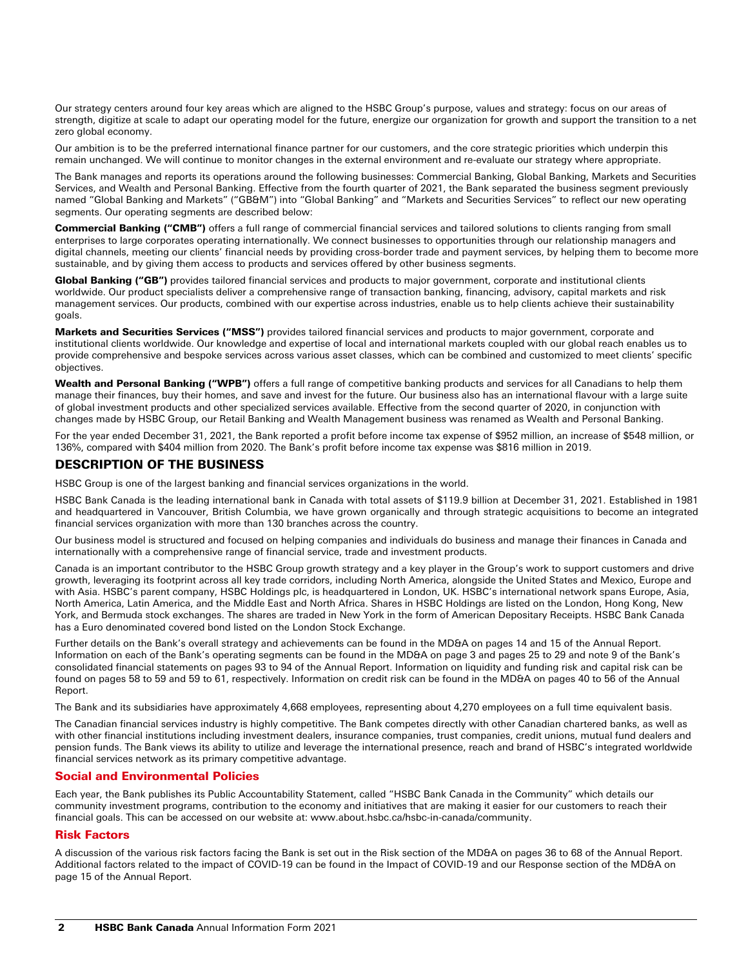Our strategy centers around four key areas which are aligned to the HSBC Group's purpose, values and strategy: focus on our areas of strength, digitize at scale to adapt our operating model for the future, energize our organization for growth and support the transition to a net zero global economy.

Our ambition is to be the preferred international finance partner for our customers, and the core strategic priorities which underpin this remain unchanged. We will continue to monitor changes in the external environment and re-evaluate our strategy where appropriate.

The Bank manages and reports its operations around the following businesses: Commercial Banking, Global Banking, Markets and Securities Services, and Wealth and Personal Banking. Effective from the fourth quarter of 2021, the Bank separated the business segment previously named "Global Banking and Markets" ("GB&M") into "Global Banking" and "Markets and Securities Services" to reflect our new operating segments. Our operating segments are described below:

Commercial Banking ("CMB") offers a full range of commercial financial services and tailored solutions to clients ranging from small enterprises to large corporates operating internationally. We connect businesses to opportunities through our relationship managers and digital channels, meeting our clients' financial needs by providing cross-border trade and payment services, by helping them to become more sustainable, and by giving them access to products and services offered by other business segments.

Global Banking ("GB") provides tailored financial services and products to major government, corporate and institutional clients worldwide. Our product specialists deliver a comprehensive range of transaction banking, financing, advisory, capital markets and risk management services. Our products, combined with our expertise across industries, enable us to help clients achieve their sustainability goals.

Markets and Securities Services ("MSS") provides tailored financial services and products to major government, corporate and institutional clients worldwide. Our knowledge and expertise of local and international markets coupled with our global reach enables us to provide comprehensive and bespoke services across various asset classes, which can be combined and customized to meet clients' specific objectives.

Wealth and Personal Banking ("WPB") offers a full range of competitive banking products and services for all Canadians to help them manage their finances, buy their homes, and save and invest for the future. Our business also has an international flavour with a large suite of global investment products and other specialized services available. Effective from the second quarter of 2020, in conjunction with changes made by HSBC Group, our Retail Banking and Wealth Management business was renamed as Wealth and Personal Banking.

For the year ended December 31, 2021, the Bank reported a profit before income tax expense of \$952 million, an increase of \$548 million, or 136%, compared with \$404 million from 2020. The Bank's profit before income tax expense was \$816 million in 2019.

# DESCRIPTION OF THE BUSINESS

HSBC Group is one of the largest banking and financial services organizations in the world.

HSBC Bank Canada is the leading international bank in Canada with total assets of \$119.9 billion at December 31, 2021. Established in 1981 and headquartered in Vancouver, British Columbia, we have grown organically and through strategic acquisitions to become an integrated financial services organization with more than 130 branches across the country.

Our business model is structured and focused on helping companies and individuals do business and manage their finances in Canada and internationally with a comprehensive range of financial service, trade and investment products.

Canada is an important contributor to the HSBC Group growth strategy and a key player in the Group's work to support customers and drive growth, leveraging its footprint across all key trade corridors, including North America, alongside the United States and Mexico, Europe and with Asia. HSBC's parent company, HSBC Holdings plc, is headquartered in London, UK. HSBC's international network spans Europe, Asia, North America, Latin America, and the Middle East and North Africa. Shares in HSBC Holdings are listed on the London, Hong Kong, New York, and Bermuda stock exchanges. The shares are traded in New York in the form of American Depositary Receipts. HSBC Bank Canada has a Euro denominated covered bond listed on the London Stock Exchange.

Further details on the Bank's overall strategy and achievements can be found in the MD&A on pages 14 and 15 of the Annual Report. Information on each of the Bank's operating segments can be found in the MD&A on page 3 and pages 25 to 29 and note 9 of the Bank's consolidated financial statements on pages 93 to 94 of the Annual Report. Information on liquidity and funding risk and capital risk can be found on pages 58 to 59 and 59 to 61, respectively. Information on credit risk can be found in the MD&A on pages 40 to 56 of the Annual Report.

The Bank and its subsidiaries have approximately 4,668 employees, representing about 4,270 employees on a full time equivalent basis.

The Canadian financial services industry is highly competitive. The Bank competes directly with other Canadian chartered banks, as well as with other financial institutions including investment dealers, insurance companies, trust companies, credit unions, mutual fund dealers and pension funds. The Bank views its ability to utilize and leverage the international presence, reach and brand of HSBC's integrated worldwide financial services network as its primary competitive advantage.

# Social and Environmental Policies

Each year, the Bank publishes its Public Accountability Statement, called "HSBC Bank Canada in the Community" which details our community investment programs, contribution to the economy and initiatives that are making it easier for our customers to reach their financial goals. This can be accessed on our website at: www.about.hsbc.ca/hsbc-in-canada/community.

# Risk Factors

A discussion of the various risk factors facing the Bank is set out in the Risk section of the MD&A on pages 36 to 68 of the Annual Report. Additional factors related to the impact of COVID-19 can be found in the Impact of COVID-19 and our Response section of the MD&A on page 15 of the Annual Report.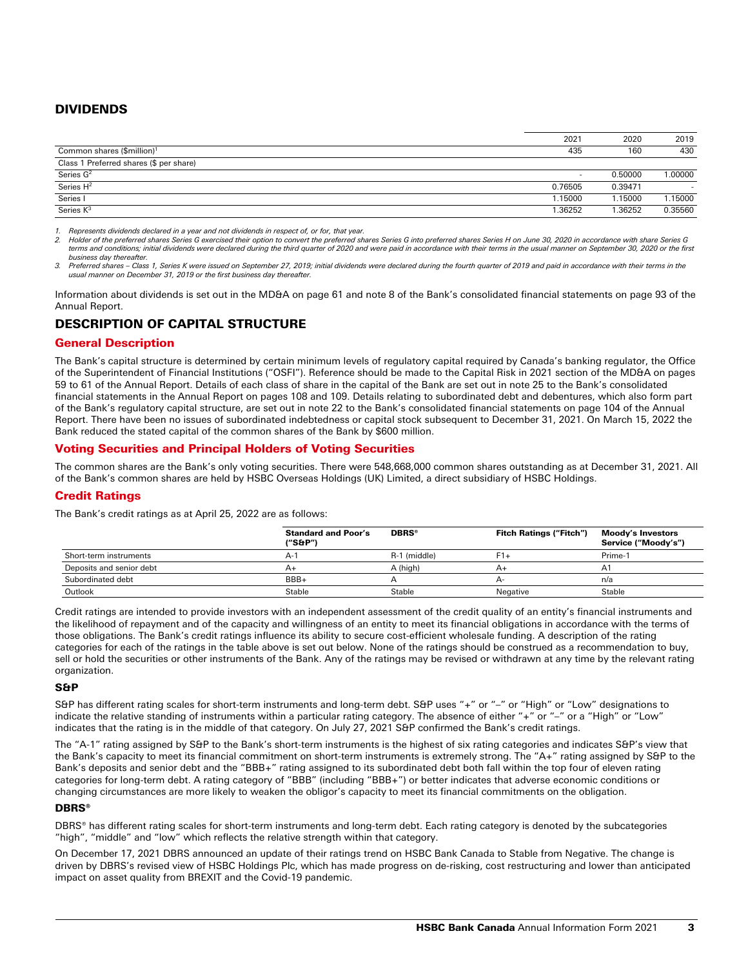# DIVIDENDS

|                                         | 2021                     | 2020    | 2019    |
|-----------------------------------------|--------------------------|---------|---------|
| Common shares (\$million) <sup>1</sup>  | 435                      | 160     | 430     |
| Class 1 Preferred shares (\$ per share) |                          |         |         |
| Series $G2$                             | $\overline{\phantom{a}}$ | 0.50000 | 1.00000 |
| Series $H^2$                            | 0.76505                  | 0.39471 |         |
| Series I                                | 1.15000                  | 1.15000 | .15000  |
| Series $K^3$                            | .36252                   | .36252  | 0.35560 |

*1. Represents dividends declared in a year and not dividends in respect of, or for, that year.*

2. Holder of the preferred shares Series G exercised their option to convert the preferred shares Series G into preferred shares Series H on June 30, 2020 in accordance with share Series G<br>terms and conditions; initial div *business day thereafter.*

3. Preferred shares – Class 1, Series K were issued on September 27, 2019; initial dividends were declared during the fourth quarter of 2019 and paid in accordance with their terms in the<br>usual manner on December 31, 2019

Information about dividends is set out in the MD&A on page 61 and note 8 of the Bank's consolidated financial statements on page 93 of the Annual Report.

# DESCRIPTION OF CAPITAL STRUCTURE

# General Description

The Bank's capital structure is determined by certain minimum levels of regulatory capital required by Canada's banking regulator, the Office of the Superintendent of Financial Institutions ("OSFI"). Reference should be made to the Capital Risk in 2021 section of the MD&A on pages 59 to 61 of the Annual Report. Details of each class of share in the capital of the Bank are set out in note 25 to the Bank's consolidated financial statements in the Annual Report on pages 108 and 109. Details relating to subordinated debt and debentures, which also form part of the Bank's regulatory capital structure, are set out in note 22 to the Bank's consolidated financial statements on page 104 of the Annual Report. There have been no issues of subordinated indebtedness or capital stock subsequent to December 31, 2021. On March 15, 2022 the Bank reduced the stated capital of the common shares of the Bank by \$600 million.

# Voting Securities and Principal Holders of Voting Securities

The common shares are the Bank's only voting securities. There were 548,668,000 common shares outstanding as at December 31, 2021. All of the Bank's common shares are held by HSBC Overseas Holdings (UK) Limited, a direct subsidiary of HSBC Holdings.

# Credit Ratings

The Bank's credit ratings as at April 25, 2022 are as follows:

|                          | <b>Standard and Poor's</b><br>("S&P") | <b>DBRS®</b> | <b>Fitch Ratings ("Fitch")</b> | Moody's Investors<br>Service ("Moody's") |
|--------------------------|---------------------------------------|--------------|--------------------------------|------------------------------------------|
| Short-term instruments   | $A-1$                                 | R-1 (middle) | F1+                            | Prime-1                                  |
| Deposits and senior debt | $A+$                                  | A (high)     | $A+$                           | A <sup>1</sup>                           |
| Subordinated debt        | BBB+                                  |              | д-                             | n/a                                      |
| Outlook                  | Stable                                | Stable       | Negative                       | Stable                                   |

Credit ratings are intended to provide investors with an independent assessment of the credit quality of an entity's financial instruments and the likelihood of repayment and of the capacity and willingness of an entity to meet its financial obligations in accordance with the terms of those obligations. The Bank's credit ratings influence its ability to secure cost-efficient wholesale funding. A description of the rating categories for each of the ratings in the table above is set out below. None of the ratings should be construed as a recommendation to buy, sell or hold the securities or other instruments of the Bank. Any of the ratings may be revised or withdrawn at any time by the relevant rating organization.

## S&P

S&P has different rating scales for short-term instruments and long-term debt. S&P uses "+" or "–" or "High" or "Low" designations to indicate the relative standing of instruments within a particular rating category. The absence of either "+" or "-" or a "High" or "Low" indicates that the rating is in the middle of that category. On July 27, 2021 S&P confirmed the Bank's credit ratings.

The "A-1" rating assigned by S&P to the Bank's short-term instruments is the highest of six rating categories and indicates S&P's view that the Bank's capacity to meet its financial commitment on short-term instruments is extremely strong. The "A+" rating assigned by S&P to the Bank's deposits and senior debt and the "BBB+" rating assigned to its subordinated debt both fall within the top four of eleven rating categories for long-term debt. A rating category of "BBB" (including "BBB+") or better indicates that adverse economic conditions or changing circumstances are more likely to weaken the obligor's capacity to meet its financial commitments on the obligation.

# DBRS®

DBRS® has different rating scales for short-term instruments and long-term debt. Each rating category is denoted by the subcategories "high", "middle" and "low" which reflects the relative strength within that category.

On December 17, 2021 DBRS announced an update of their ratings trend on HSBC Bank Canada to Stable from Negative. The change is driven by DBRS's revised view of HSBC Holdings Plc, which has made progress on de-risking, cost restructuring and lower than anticipated impact on asset quality from BREXIT and the Covid-19 pandemic.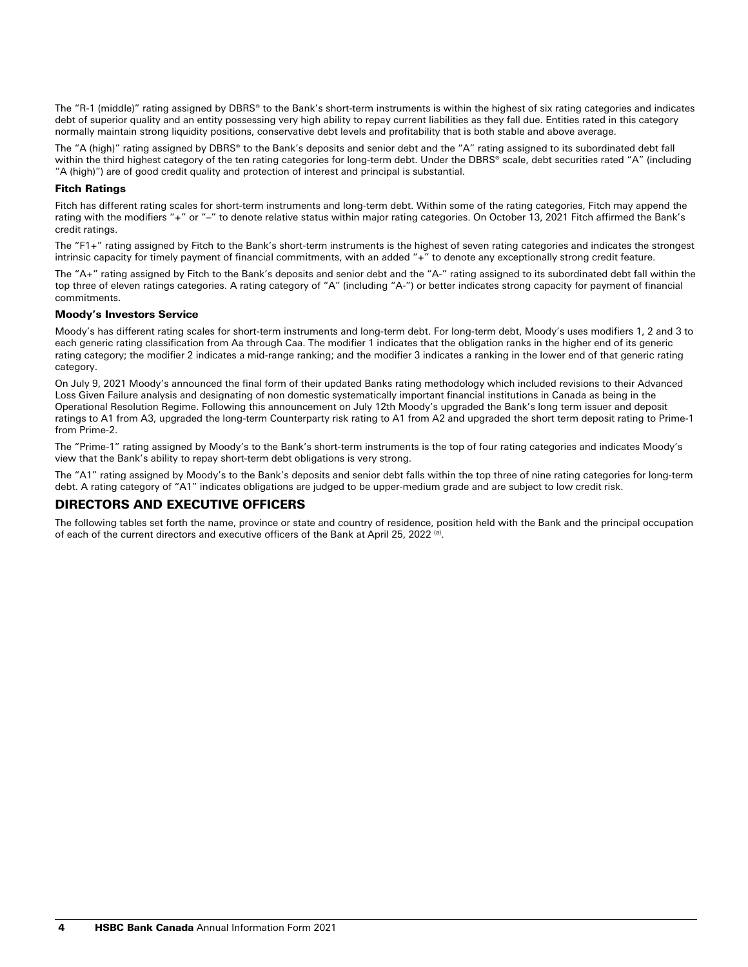The "R-1 (middle)" rating assigned by DBRS® to the Bank's short-term instruments is within the highest of six rating categories and indicates debt of superior quality and an entity possessing very high ability to repay current liabilities as they fall due. Entities rated in this category normally maintain strong liquidity positions, conservative debt levels and profitability that is both stable and above average.

The "A (high)" rating assigned by DBRS® to the Bank's deposits and senior debt and the "A" rating assigned to its subordinated debt fall within the third highest category of the ten rating categories for long-term debt. Under the DBRS® scale, debt securities rated "A" (including "A (high)") are of good credit quality and protection of interest and principal is substantial.

## Fitch Ratings

Fitch has different rating scales for short-term instruments and long-term debt. Within some of the rating categories, Fitch may append the rating with the modifiers "+" or "–" to denote relative status within major rating categories. On October 13, 2021 Fitch affirmed the Bank's credit ratings.

The "F1+" rating assigned by Fitch to the Bank's short-term instruments is the highest of seven rating categories and indicates the strongest intrinsic capacity for timely payment of financial commitments, with an added "+" to denote any exceptionally strong credit feature.

The "A+" rating assigned by Fitch to the Bank's deposits and senior debt and the "A-" rating assigned to its subordinated debt fall within the top three of eleven ratings categories. A rating category of "A" (including "A-") or better indicates strong capacity for payment of financial commitments.

## Moody's Investors Service

Moody's has different rating scales for short-term instruments and long-term debt. For long-term debt, Moody's uses modifiers 1, 2 and 3 to each generic rating classification from Aa through Caa. The modifier 1 indicates that the obligation ranks in the higher end of its generic rating category; the modifier 2 indicates a mid-range ranking; and the modifier 3 indicates a ranking in the lower end of that generic rating category.

On July 9, 2021 Moody's announced the final form of their updated Banks rating methodology which included revisions to their Advanced Loss Given Failure analysis and designating of non domestic systematically important financial institutions in Canada as being in the Operational Resolution Regime. Following this announcement on July 12th Moody's upgraded the Bank's long term issuer and deposit ratings to A1 from A3, upgraded the long-term Counterparty risk rating to A1 from A2 and upgraded the short term deposit rating to Prime-1 from Prime-2.

The "Prime-1" rating assigned by Moody's to the Bank's short-term instruments is the top of four rating categories and indicates Moody's view that the Bank's ability to repay short-term debt obligations is very strong.

The "A1" rating assigned by Moody's to the Bank's deposits and senior debt falls within the top three of nine rating categories for long-term debt. A rating category of "A1" indicates obligations are judged to be upper-medium grade and are subject to low credit risk.

# DIRECTORS AND EXECUTIVE OFFICERS

The following tables set forth the name, province or state and country of residence, position held with the Bank and the principal occupation of each of the current directors and executive officers of the Bank at April 25, 2022 (a).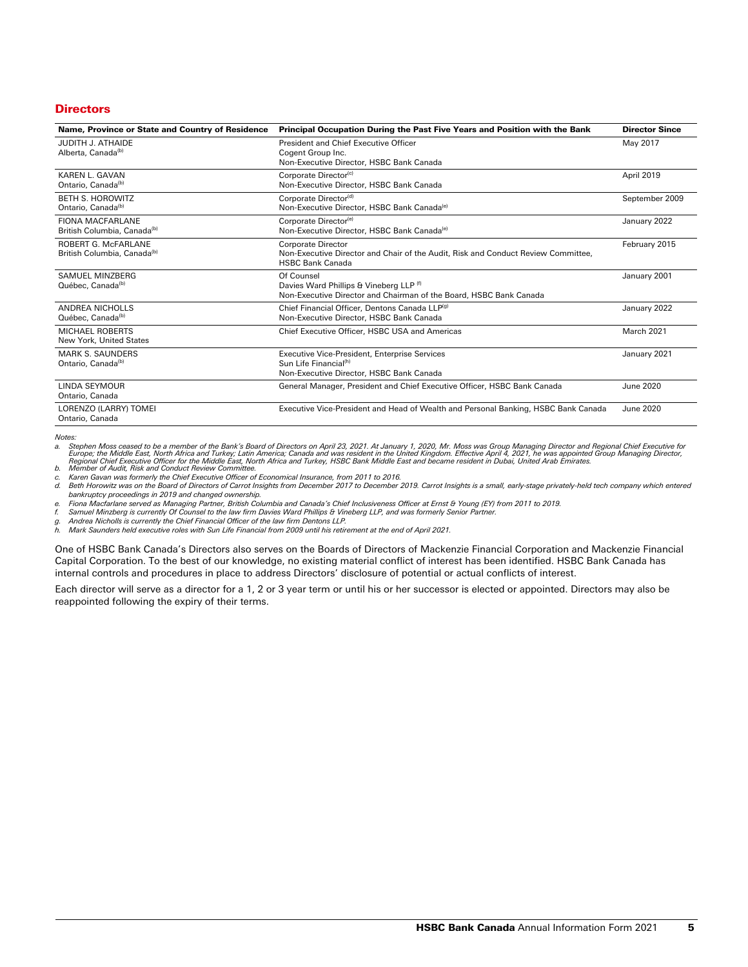## **Directors**

| Name, Province or State and Country of Residence               | Principal Occupation During the Past Five Years and Position with the Bank                                                                | <b>Director Since</b> |  |
|----------------------------------------------------------------|-------------------------------------------------------------------------------------------------------------------------------------------|-----------------------|--|
| JUDITH J. ATHAIDE<br>Alberta, Canada <sup>(b)</sup>            | President and Chief Executive Officer<br>Cogent Group Inc.<br>Non-Executive Director, HSBC Bank Canada                                    | May 2017              |  |
| KAREN L. GAVAN<br>Ontario, Canada <sup>(b)</sup>               | Corporate Director <sup>(c)</sup><br>Non-Executive Director, HSBC Bank Canada                                                             | April 2019            |  |
| <b>BETH S. HOROWITZ</b><br>Ontario, Canada <sup>(b)</sup>      | Corporate Director <sup>(d)</sup><br>Non-Executive Director, HSBC Bank Canada <sup>(e)</sup>                                              | September 2009        |  |
| FIONA MACFARLANE<br>British Columbia, Canada <sup>(b)</sup>    | Corporate Director <sup>(e)</sup><br>Non-Executive Director, HSBC Bank Canada <sup>(e)</sup>                                              | January 2022          |  |
| ROBERT G. McFARLANE<br>British Columbia, Canada <sup>(b)</sup> | <b>Corporate Director</b><br>Non-Executive Director and Chair of the Audit. Risk and Conduct Review Committee.<br><b>HSBC Bank Canada</b> | February 2015         |  |
| SAMUEL MINZBERG<br>Québec, Canada <sup>(b)</sup>               | Of Counsel<br>Davies Ward Phillips & Vineberg LLP (f)<br>Non-Executive Director and Chairman of the Board, HSBC Bank Canada               | January 2001          |  |
| ANDREA NICHOLLS<br>Québec, Canada <sup>(b)</sup>               | Chief Financial Officer, Dentons Canada LLP(9)<br>Non-Executive Director, HSBC Bank Canada                                                | January 2022          |  |
| <b>MICHAEL ROBERTS</b><br>New York, United States              | Chief Executive Officer, HSBC USA and Americas                                                                                            | March 2021            |  |
| <b>MARK S. SAUNDERS</b><br>Ontario, Canada <sup>(b)</sup>      | Executive Vice-President, Enterprise Services<br>Sun Life Financial <sup>(h)</sup><br>Non-Executive Director, HSBC Bank Canada            | January 2021          |  |
| LINDA SEYMOUR<br>Ontario, Canada                               | General Manager, President and Chief Executive Officer, HSBC Bank Canada                                                                  | June 2020             |  |
| LORENZO (LARRY) TOMEI<br>Ontario, Canada                       | Executive Vice-President and Head of Wealth and Personal Banking, HSBC Bank Canada                                                        | <b>June 2020</b>      |  |

*Notes:*

a. Stephen Moss ceased to be a member of the Bank's Board of Directors on April 23, 2021. At January 1, 2020, Mr. Moss was Group Managing Director and Regional Chief Executive for<br>Europe; the Middle East, North Africa an

*c. Karen Gavan was formerly the Chief Executive Officer of Economical Insurance, from 2011 to 2016.* 

Beth Horowitz was on the Board of Directors of Carrot Insights from December 2017 to December 2019. Carrot Insights is a small, early-stage privately-held tech company which entered *bankruptcy proceedings in 2019 and changed ownership.*

*e. Fiona Macfarlane served as Managing Partner, British Columbia and Canada's Chief Inclusiveness Officer at Ernst & Young (EY) from 2011 to 2019.*

*f. Samuel Minzberg is currently Of Counsel to the law firm Davies Ward Phillips & Vineberg LLP, and was formerly Senior Partner.*

*g. Andrea Nicholls is currently the Chief Financial Officer of the law firm Dentons LLP.*

*h. Mark Saunders held executive roles with Sun Life Financial from 2009 until his retirement at the end of April 2021.* 

One of HSBC Bank Canada's Directors also serves on the Boards of Directors of Mackenzie Financial Corporation and Mackenzie Financial Capital Corporation. To the best of our knowledge, no existing material conflict of interest has been identified. HSBC Bank Canada has internal controls and procedures in place to address Directors' disclosure of potential or actual conflicts of interest.

Each director will serve as a director for a 1, 2 or 3 year term or until his or her successor is elected or appointed. Directors may also be reappointed following the expiry of their terms.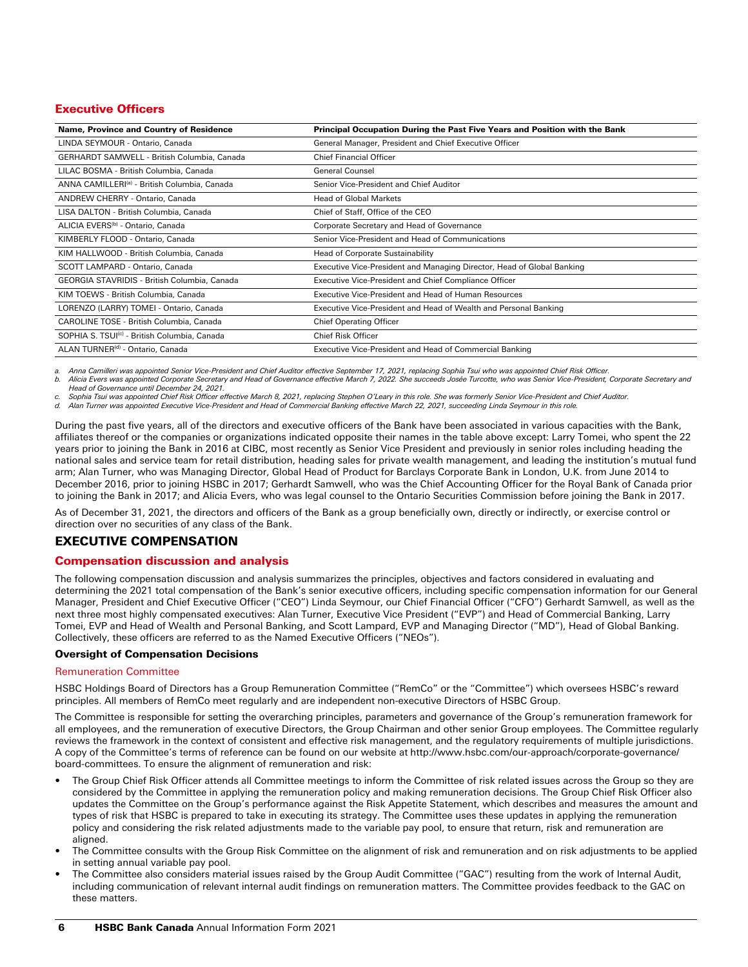# Executive Officers

| Name, Province and Country of Residence                  | Principal Occupation During the Past Five Years and Position with the Bank |
|----------------------------------------------------------|----------------------------------------------------------------------------|
| LINDA SEYMOUR - Ontario, Canada                          | General Manager, President and Chief Executive Officer                     |
| GERHARDT SAMWELL - British Columbia, Canada              | <b>Chief Financial Officer</b>                                             |
| LILAC BOSMA - British Columbia, Canada                   | <b>General Counsel</b>                                                     |
| ANNA CAMILLERI <sup>(a)</sup> - British Columbia, Canada | Senior Vice-President and Chief Auditor                                    |
| ANDREW CHERRY - Ontario, Canada                          | <b>Head of Global Markets</b>                                              |
| LISA DALTON - British Columbia, Canada                   | Chief of Staff, Office of the CEO                                          |
| ALICIA EVERS <sup>(b)</sup> - Ontario, Canada            | Corporate Secretary and Head of Governance                                 |
| KIMBERLY FLOOD - Ontario, Canada                         | Senior Vice-President and Head of Communications                           |
| KIM HALLWOOD - British Columbia, Canada                  | Head of Corporate Sustainability                                           |
| SCOTT LAMPARD - Ontario, Canada                          | Executive Vice-President and Managing Director, Head of Global Banking     |
| GEORGIA STAVRIDIS - British Columbia, Canada             | Executive Vice-President and Chief Compliance Officer                      |
| KIM TOEWS - British Columbia, Canada                     | Executive Vice-President and Head of Human Resources                       |
| LORENZO (LARRY) TOMEI - Ontario, Canada                  | Executive Vice-President and Head of Wealth and Personal Banking           |
| CAROLINE TOSE - British Columbia, Canada                 | <b>Chief Operating Officer</b>                                             |
| SOPHIA S. TSUI <sup>(c)</sup> - British Columbia, Canada | <b>Chief Risk Officer</b>                                                  |
| ALAN TURNER <sup>(d)</sup> - Ontario, Canada             | Executive Vice-President and Head of Commercial Banking                    |

*a. Anna Camilleri was appointed Senior Vice-President and Chief Auditor effective September 17, 2021, replacing Sophia Tsui who was appointed Chief Risk Officer. b. Alicia Evers was appointed Corporate Secretary and Head of Governance effective March 7, 2022. She succeeds Josée Turcotte, who was Senior Vice-President, Corporate Secretary and Head of Governance until December 24, 2021.*

*c. Sophia Tsui was appointed Chief Risk Officer effective March 8, 2021, replacing Stephen O'Leary in this role. She was formerly Senior Vice-President and Chief Auditor.* 

*d. Alan Turner was appointed Executive Vice-President and Head of Commercial Banking effective March 22, 2021, succeeding Linda Seymour in this role.* 

During the past five years, all of the directors and executive officers of the Bank have been associated in various capacities with the Bank, affiliates thereof or the companies or organizations indicated opposite their names in the table above except: Larry Tomei, who spent the 22 years prior to joining the Bank in 2016 at CIBC, most recently as Senior Vice President and previously in senior roles including heading the national sales and service team for retail distribution, heading sales for private wealth management, and leading the institution's mutual fund arm; Alan Turner, who was Managing Director, Global Head of Product for Barclays Corporate Bank in London, U.K. from June 2014 to December 2016, prior to joining HSBC in 2017; Gerhardt Samwell, who was the Chief Accounting Officer for the Royal Bank of Canada prior to joining the Bank in 2017; and Alicia Evers, who was legal counsel to the Ontario Securities Commission before joining the Bank in 2017.

As of December 31, 2021, the directors and officers of the Bank as a group beneficially own, directly or indirectly, or exercise control or direction over no securities of any class of the Bank.

# EXECUTIVE COMPENSATION

# Compensation discussion and analysis

The following compensation discussion and analysis summarizes the principles, objectives and factors considered in evaluating and determining the 2021 total compensation of the Bank's senior executive officers, including specific compensation information for our General Manager, President and Chief Executive Officer ("CEO") Linda Seymour, our Chief Financial Officer ("CFO") Gerhardt Samwell, as well as the next three most highly compensated executives: Alan Turner, Executive Vice President ("EVP") and Head of Commercial Banking, Larry Tomei, EVP and Head of Wealth and Personal Banking, and Scott Lampard, EVP and Managing Director ("MD"), Head of Global Banking. Collectively, these officers are referred to as the Named Executive Officers ("NEOs").

## Oversight of Compensation Decisions

## Remuneration Committee

HSBC Holdings Board of Directors has a Group Remuneration Committee ("RemCo" or the "Committee") which oversees HSBC's reward principles. All members of RemCo meet regularly and are independent non-executive Directors of HSBC Group.

The Committee is responsible for setting the overarching principles, parameters and governance of the Group's remuneration framework for all employees, and the remuneration of executive Directors, the Group Chairman and other senior Group employees. The Committee regularly reviews the framework in the context of consistent and effective risk management, and the regulatory requirements of multiple jurisdictions. A copy of the Committee's terms of reference can be found on our website at http://www.hsbc.com/our-approach/corporate-governance/ board-committees. To ensure the alignment of remuneration and risk:

- The Group Chief Risk Officer attends all Committee meetings to inform the Committee of risk related issues across the Group so they are considered by the Committee in applying the remuneration policy and making remuneration decisions. The Group Chief Risk Officer also updates the Committee on the Group's performance against the Risk Appetite Statement, which describes and measures the amount and types of risk that HSBC is prepared to take in executing its strategy. The Committee uses these updates in applying the remuneration policy and considering the risk related adjustments made to the variable pay pool, to ensure that return, risk and remuneration are aligned.
- The Committee consults with the Group Risk Committee on the alignment of risk and remuneration and on risk adjustments to be applied in setting annual variable pay pool.
- The Committee also considers material issues raised by the Group Audit Committee ("GAC") resulting from the work of Internal Audit, including communication of relevant internal audit findings on remuneration matters. The Committee provides feedback to the GAC on these matters.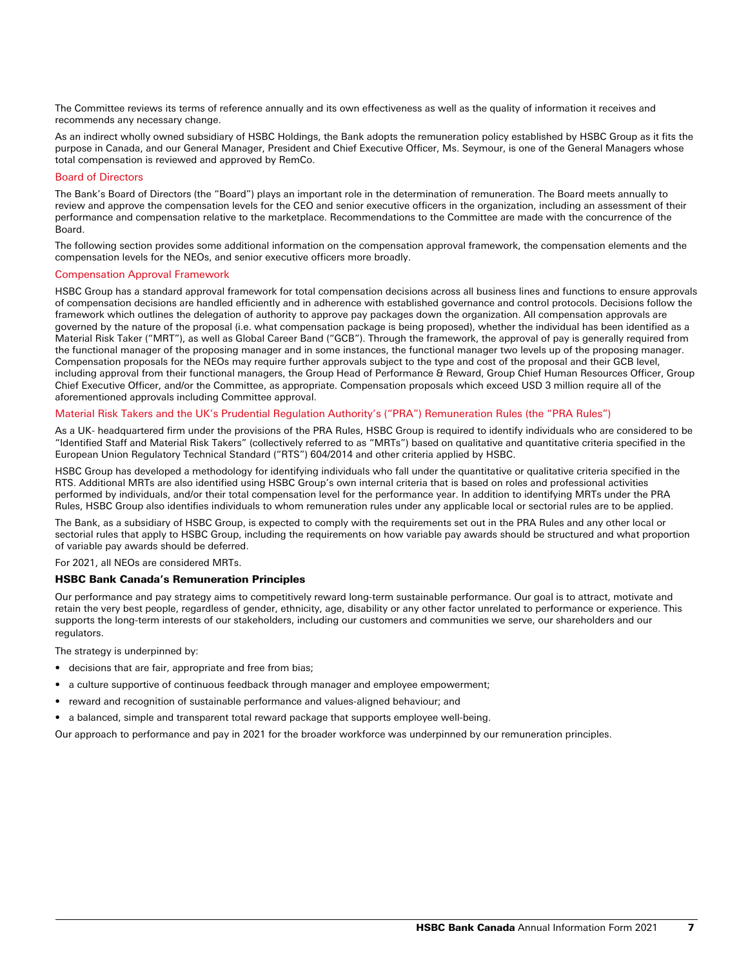The Committee reviews its terms of reference annually and its own effectiveness as well as the quality of information it receives and recommends any necessary change.

As an indirect wholly owned subsidiary of HSBC Holdings, the Bank adopts the remuneration policy established by HSBC Group as it fits the purpose in Canada, and our General Manager, President and Chief Executive Officer, Ms. Seymour, is one of the General Managers whose total compensation is reviewed and approved by RemCo.

#### Board of Directors

The Bank's Board of Directors (the "Board") plays an important role in the determination of remuneration. The Board meets annually to review and approve the compensation levels for the CEO and senior executive officers in the organization, including an assessment of their performance and compensation relative to the marketplace. Recommendations to the Committee are made with the concurrence of the Board.

The following section provides some additional information on the compensation approval framework, the compensation elements and the compensation levels for the NEOs, and senior executive officers more broadly.

#### Compensation Approval Framework

HSBC Group has a standard approval framework for total compensation decisions across all business lines and functions to ensure approvals of compensation decisions are handled efficiently and in adherence with established governance and control protocols. Decisions follow the framework which outlines the delegation of authority to approve pay packages down the organization. All compensation approvals are governed by the nature of the proposal (i.e. what compensation package is being proposed), whether the individual has been identified as a Material Risk Taker ("MRT"), as well as Global Career Band ("GCB"). Through the framework, the approval of pay is generally required from the functional manager of the proposing manager and in some instances, the functional manager two levels up of the proposing manager. Compensation proposals for the NEOs may require further approvals subject to the type and cost of the proposal and their GCB level, including approval from their functional managers, the Group Head of Performance & Reward, Group Chief Human Resources Officer, Group Chief Executive Officer, and/or the Committee, as appropriate. Compensation proposals which exceed USD 3 million require all of the aforementioned approvals including Committee approval.

## Material Risk Takers and the UK's Prudential Regulation Authority's ("PRA") Remuneration Rules (the "PRA Rules")

As a UK- headquartered firm under the provisions of the PRA Rules, HSBC Group is required to identify individuals who are considered to be "Identified Staff and Material Risk Takers" (collectively referred to as "MRTs") based on qualitative and quantitative criteria specified in the European Union Regulatory Technical Standard ("RTS") 604/2014 and other criteria applied by HSBC.

HSBC Group has developed a methodology for identifying individuals who fall under the quantitative or qualitative criteria specified in the RTS. Additional MRTs are also identified using HSBC Group's own internal criteria that is based on roles and professional activities performed by individuals, and/or their total compensation level for the performance year. In addition to identifying MRTs under the PRA Rules, HSBC Group also identifies individuals to whom remuneration rules under any applicable local or sectorial rules are to be applied.

The Bank, as a subsidiary of HSBC Group, is expected to comply with the requirements set out in the PRA Rules and any other local or sectorial rules that apply to HSBC Group, including the requirements on how variable pay awards should be structured and what proportion of variable pay awards should be deferred.

For 2021, all NEOs are considered MRTs.

#### HSBC Bank Canada's Remuneration Principles

Our performance and pay strategy aims to competitively reward long-term sustainable performance. Our goal is to attract, motivate and retain the very best people, regardless of gender, ethnicity, age, disability or any other factor unrelated to performance or experience. This supports the long-term interests of our stakeholders, including our customers and communities we serve, our shareholders and our regulators.

The strategy is underpinned by:

- decisions that are fair, appropriate and free from bias;
- a culture supportive of continuous feedback through manager and employee empowerment;
- reward and recognition of sustainable performance and values-aligned behaviour; and
- a balanced, simple and transparent total reward package that supports employee well-being.

Our approach to performance and pay in 2021 for the broader workforce was underpinned by our remuneration principles.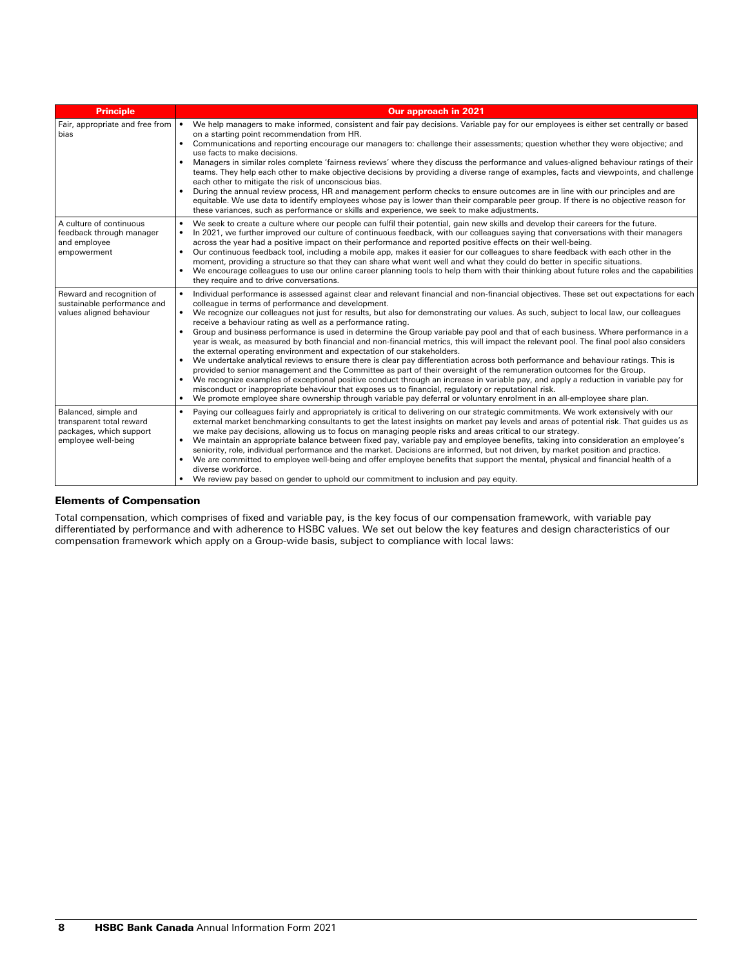| <b>Principle</b>                                                                                   | <b>Our approach in 2021</b>                                                                                                                                                                                                                                                                                                                                                                                                                                                                                                                                                                                                                                                                                                                                                                                                                                                                                                                                                                                                                                                                                                                                                                                                                                                                                                                                                                                                                                          |
|----------------------------------------------------------------------------------------------------|----------------------------------------------------------------------------------------------------------------------------------------------------------------------------------------------------------------------------------------------------------------------------------------------------------------------------------------------------------------------------------------------------------------------------------------------------------------------------------------------------------------------------------------------------------------------------------------------------------------------------------------------------------------------------------------------------------------------------------------------------------------------------------------------------------------------------------------------------------------------------------------------------------------------------------------------------------------------------------------------------------------------------------------------------------------------------------------------------------------------------------------------------------------------------------------------------------------------------------------------------------------------------------------------------------------------------------------------------------------------------------------------------------------------------------------------------------------------|
| Fair, appropriate and free from<br>bias                                                            | We help managers to make informed, consistent and fair pay decisions. Variable pay for our employees is either set centrally or based<br>on a starting point recommendation from HR.<br>Communications and reporting encourage our managers to: challenge their assessments; question whether they were objective; and<br>$\bullet$<br>use facts to make decisions.<br>Managers in similar roles complete 'fairness reviews' where they discuss the performance and values-aligned behaviour ratings of their<br>$\bullet$<br>teams. They help each other to make objective decisions by providing a diverse range of examples, facts and viewpoints, and challenge<br>each other to mitigate the risk of unconscious bias.<br>During the annual review process, HR and management perform checks to ensure outcomes are in line with our principles and are<br>$\bullet$<br>equitable. We use data to identify employees whose pay is lower than their comparable peer group. If there is no objective reason for<br>these variances, such as performance or skills and experience, we seek to make adjustments.                                                                                                                                                                                                                                                                                                                                                    |
| A culture of continuous<br>feedback through manager<br>and employee<br>empowerment                 | We seek to create a culture where our people can fulfil their potential, gain new skills and develop their careers for the future.<br>$\bullet$<br>In 2021, we further improved our culture of continuous feedback, with our colleagues saying that conversations with their managers<br>$\bullet$<br>across the year had a positive impact on their performance and reported positive effects on their well-being.<br>Our continuous feedback tool, including a mobile app, makes it easier for our colleagues to share feedback with each other in the<br>$\bullet$<br>moment, providing a structure so that they can share what went well and what they could do better in specific situations.<br>We encourage colleagues to use our online career planning tools to help them with their thinking about future roles and the capabilities<br>$\bullet$<br>they require and to drive conversations.                                                                                                                                                                                                                                                                                                                                                                                                                                                                                                                                                              |
| Reward and recognition of<br>sustainable performance and<br>values aligned behaviour               | Individual performance is assessed against clear and relevant financial and non-financial objectives. These set out expectations for each<br>$\bullet$<br>colleague in terms of performance and development.<br>We recognize our colleagues not just for results, but also for demonstrating our values. As such, subject to local law, our colleagues<br>$\bullet$<br>receive a behaviour rating as well as a performance rating.<br>Group and business performance is used in determine the Group variable pay pool and that of each business. Where performance in a<br>$\bullet$<br>year is weak, as measured by both financial and non-financial metrics, this will impact the relevant pool. The final pool also considers<br>the external operating environment and expectation of our stakeholders.<br>We undertake analytical reviews to ensure there is clear pay differentiation across both performance and behaviour ratings. This is<br>provided to senior management and the Committee as part of their oversight of the remuneration outcomes for the Group.<br>We recognize examples of exceptional positive conduct through an increase in variable pay, and apply a reduction in variable pay for<br>misconduct or inappropriate behaviour that exposes us to financial, regulatory or reputational risk.<br>We promote employee share ownership through variable pay deferral or voluntary enrolment in an all-employee share plan.<br>$\bullet$ |
| Balanced, simple and<br>transparent total reward<br>packages, which support<br>employee well-being | Paying our colleagues fairly and appropriately is critical to delivering on our strategic commitments. We work extensively with our<br>$\bullet$<br>external market benchmarking consultants to get the latest insights on market pay levels and areas of potential risk. That guides us as<br>we make pay decisions, allowing us to focus on managing people risks and areas critical to our strategy.<br>We maintain an appropriate balance between fixed pay, variable pay and employee benefits, taking into consideration an employee's<br>$\bullet$<br>seniority, role, individual performance and the market. Decisions are informed, but not driven, by market position and practice.<br>We are committed to employee well-being and offer employee benefits that support the mental, physical and financial health of a<br>$\bullet$<br>diverse workforce.<br>We review pay based on gender to uphold our commitment to inclusion and pay equity.                                                                                                                                                                                                                                                                                                                                                                                                                                                                                                           |

# Elements of Compensation

Total compensation, which comprises of fixed and variable pay, is the key focus of our compensation framework, with variable pay differentiated by performance and with adherence to HSBC values. We set out below the key features and design characteristics of our compensation framework which apply on a Group-wide basis, subject to compliance with local laws: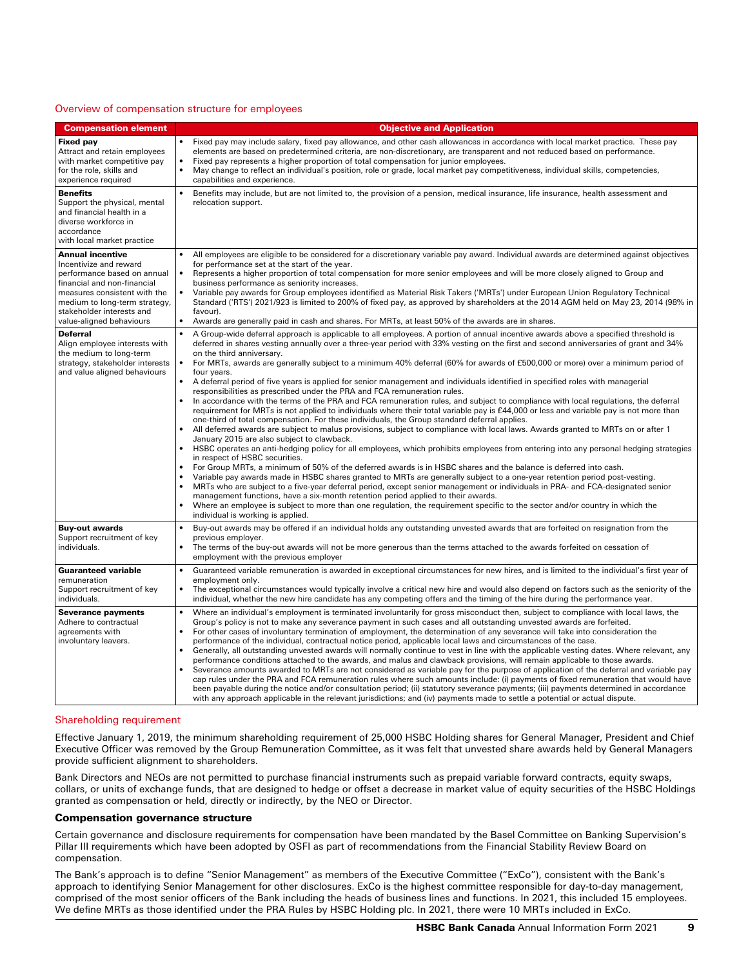#### Overview of compensation structure for employees

| <b>Compensation element</b>                                                                                                                                                                                                               | <b>Objective and Application</b>                                                                                                                                                                                                                                                                                                                                                                                                                                                                                                                                                                                                                                                                                                                                                                                                                                                                                                                                                                                                                                                                                                                                                                                                                                                                                                                                                                                                                                                                                                                                                                                                                                                                                                                                                                                                                                                                                                                                                                                                                                                                                                                                                                  |
|-------------------------------------------------------------------------------------------------------------------------------------------------------------------------------------------------------------------------------------------|---------------------------------------------------------------------------------------------------------------------------------------------------------------------------------------------------------------------------------------------------------------------------------------------------------------------------------------------------------------------------------------------------------------------------------------------------------------------------------------------------------------------------------------------------------------------------------------------------------------------------------------------------------------------------------------------------------------------------------------------------------------------------------------------------------------------------------------------------------------------------------------------------------------------------------------------------------------------------------------------------------------------------------------------------------------------------------------------------------------------------------------------------------------------------------------------------------------------------------------------------------------------------------------------------------------------------------------------------------------------------------------------------------------------------------------------------------------------------------------------------------------------------------------------------------------------------------------------------------------------------------------------------------------------------------------------------------------------------------------------------------------------------------------------------------------------------------------------------------------------------------------------------------------------------------------------------------------------------------------------------------------------------------------------------------------------------------------------------------------------------------------------------------------------------------------------------|
| <b>Fixed pay</b><br>Attract and retain employees<br>with market competitive pay<br>for the role, skills and<br>experience required                                                                                                        | Fixed pay may include salary, fixed pay allowance, and other cash allowances in accordance with local market practice. These pay<br>elements are based on predetermined criteria, are non-discretionary, are transparent and not reduced based on performance.<br>$\bullet$<br>Fixed pay represents a higher proportion of total compensation for junior employees.<br>$\bullet$<br>May change to reflect an individual's position, role or grade, local market pay competitiveness, individual skills, competencies,<br>capabilities and experience.                                                                                                                                                                                                                                                                                                                                                                                                                                                                                                                                                                                                                                                                                                                                                                                                                                                                                                                                                                                                                                                                                                                                                                                                                                                                                                                                                                                                                                                                                                                                                                                                                                             |
| <b>Benefits</b><br>Support the physical, mental<br>and financial health in a<br>diverse workforce in<br>accordance<br>with local market practice                                                                                          | $\bullet$<br>Benefits may include, but are not limited to, the provision of a pension, medical insurance, life insurance, health assessment and<br>relocation support.                                                                                                                                                                                                                                                                                                                                                                                                                                                                                                                                                                                                                                                                                                                                                                                                                                                                                                                                                                                                                                                                                                                                                                                                                                                                                                                                                                                                                                                                                                                                                                                                                                                                                                                                                                                                                                                                                                                                                                                                                            |
| <b>Annual incentive</b><br>Incentivize and reward<br>performance based on annual<br>financial and non-financial<br>measures consistent with the<br>medium to long-term strategy,<br>stakeholder interests and<br>value-aligned behaviours | All employees are eligible to be considered for a discretionary variable pay award. Individual awards are determined against objectives<br>for performance set at the start of the year.<br>$\bullet$<br>Represents a higher proportion of total compensation for more senior employees and will be more closely aligned to Group and<br>business performance as seniority increases.<br>$\bullet$<br>Variable pay awards for Group employees identified as Material Risk Takers ('MRTs') under European Union Regulatory Technical<br>Standard ('RTS') 2021/923 is limited to 200% of fixed pay, as approved by shareholders at the 2014 AGM held on May 23, 2014 (98% in<br>favour).<br>$\bullet$<br>Awards are generally paid in cash and shares. For MRTs, at least 50% of the awards are in shares.                                                                                                                                                                                                                                                                                                                                                                                                                                                                                                                                                                                                                                                                                                                                                                                                                                                                                                                                                                                                                                                                                                                                                                                                                                                                                                                                                                                          |
| <b>Deferral</b><br>Align employee interests with<br>the medium to long-term<br>strategy, stakeholder interests<br>and value aligned behaviours                                                                                            | $\bullet$<br>A Group-wide deferral approach is applicable to all employees. A portion of annual incentive awards above a specified threshold is<br>deferred in shares vesting annually over a three-year period with 33% vesting on the first and second anniversaries of grant and 34%<br>on the third anniversary.<br>$\bullet$<br>For MRTs, awards are generally subject to a minimum 40% deferral (60% for awards of £500,000 or more) over a minimum period of<br>four years.<br>$\bullet$<br>A deferral period of five years is applied for senior management and individuals identified in specified roles with managerial<br>responsibilities as prescribed under the PRA and FCA remuneration rules.<br>$\bullet$<br>In accordance with the terms of the PRA and FCA remuneration rules, and subject to compliance with local regulations, the deferral<br>requirement for MRTs is not applied to individuals where their total variable pay is £44,000 or less and variable pay is not more than<br>one-third of total compensation. For these individuals, the Group standard deferral applies.<br>All deferred awards are subject to malus provisions, subject to compliance with local laws. Awards granted to MRTs on or after 1<br>$\bullet$<br>January 2015 are also subject to clawback.<br>$\bullet$<br>HSBC operates an anti-hedging policy for all employees, which prohibits employees from entering into any personal hedging strategies<br>in respect of HSBC securities.<br>For Group MRTs, a minimum of 50% of the deferred awards is in HSBC shares and the balance is deferred into cash.<br>$\bullet$<br>$\bullet$<br>Variable pay awards made in HSBC shares granted to MRTs are generally subject to a one-year retention period post-vesting.<br>$\bullet$<br>MRTs who are subject to a five-year deferral period, except senior management or individuals in PRA- and FCA-designated senior<br>management functions, have a six-month retention period applied to their awards.<br>$\bullet$<br>Where an employee is subject to more than one regulation, the requirement specific to the sector and/or country in which the<br>individual is working is applied. |
| <b>Buy-out awards</b><br>Support recruitment of key<br>individuals.                                                                                                                                                                       | $\bullet$<br>Buy-out awards may be offered if an individual holds any outstanding unvested awards that are forfeited on resignation from the<br>previous employer.<br>$\bullet$<br>The terms of the buy-out awards will not be more generous than the terms attached to the awards forfeited on cessation of<br>employment with the previous employer                                                                                                                                                                                                                                                                                                                                                                                                                                                                                                                                                                                                                                                                                                                                                                                                                                                                                                                                                                                                                                                                                                                                                                                                                                                                                                                                                                                                                                                                                                                                                                                                                                                                                                                                                                                                                                             |
| <b>Guaranteed variable</b><br>remuneration<br>Support recruitment of key<br>individuals.                                                                                                                                                  | $\bullet$<br>Guaranteed variable remuneration is awarded in exceptional circumstances for new hires, and is limited to the individual's first year of<br>employment only.<br>$\bullet$<br>The exceptional circumstances would typically involve a critical new hire and would also depend on factors such as the seniority of the<br>individual, whether the new hire candidate has any competing offers and the timing of the hire during the performance year.                                                                                                                                                                                                                                                                                                                                                                                                                                                                                                                                                                                                                                                                                                                                                                                                                                                                                                                                                                                                                                                                                                                                                                                                                                                                                                                                                                                                                                                                                                                                                                                                                                                                                                                                  |
| <b>Severance payments</b><br>Adhere to contractual<br>agreements with<br>involuntary leavers.                                                                                                                                             | $\bullet$<br>Where an individual's employment is terminated involuntarily for gross misconduct then, subject to compliance with local laws, the<br>Group's policy is not to make any severance payment in such cases and all outstanding unvested awards are forfeited.<br>$\bullet$<br>For other cases of involuntary termination of employment, the determination of any severance will take into consideration the<br>performance of the individual, contractual notice period, applicable local laws and circumstances of the case.<br>$\bullet$<br>Generally, all outstanding unvested awards will normally continue to vest in line with the applicable vesting dates. Where relevant, any<br>performance conditions attached to the awards, and malus and clawback provisions, will remain applicable to those awards.<br>Severance amounts awarded to MRTs are not considered as variable pay for the purpose of application of the deferral and variable pay<br>cap rules under the PRA and FCA remuneration rules where such amounts include: (i) payments of fixed remuneration that would have<br>been payable during the notice and/or consultation period; (ii) statutory severance payments; (iii) payments determined in accordance<br>with any approach applicable in the relevant jurisdictions; and (iv) payments made to settle a potential or actual dispute.                                                                                                                                                                                                                                                                                                                                                                                                                                                                                                                                                                                                                                                                                                                                                                                                                |

## Shareholding requirement

Effective January 1, 2019, the minimum shareholding requirement of 25,000 HSBC Holding shares for General Manager, President and Chief Executive Officer was removed by the Group Remuneration Committee, as it was felt that unvested share awards held by General Managers provide sufficient alignment to shareholders.

Bank Directors and NEOs are not permitted to purchase financial instruments such as prepaid variable forward contracts, equity swaps, collars, or units of exchange funds, that are designed to hedge or offset a decrease in market value of equity securities of the HSBC Holdings granted as compensation or held, directly or indirectly, by the NEO or Director.

#### Compensation governance structure

Certain governance and disclosure requirements for compensation have been mandated by the Basel Committee on Banking Supervision's Pillar III requirements which have been adopted by OSFI as part of recommendations from the Financial Stability Review Board on compensation.

The Bank's approach is to define "Senior Management" as members of the Executive Committee ("ExCo"), consistent with the Bank's approach to identifying Senior Management for other disclosures. ExCo is the highest committee responsible for day-to-day management, comprised of the most senior officers of the Bank including the heads of business lines and functions. In 2021, this included 15 employees. We define MRTs as those identified under the PRA Rules by HSBC Holding plc. In 2021, there were 10 MRTs included in ExCo.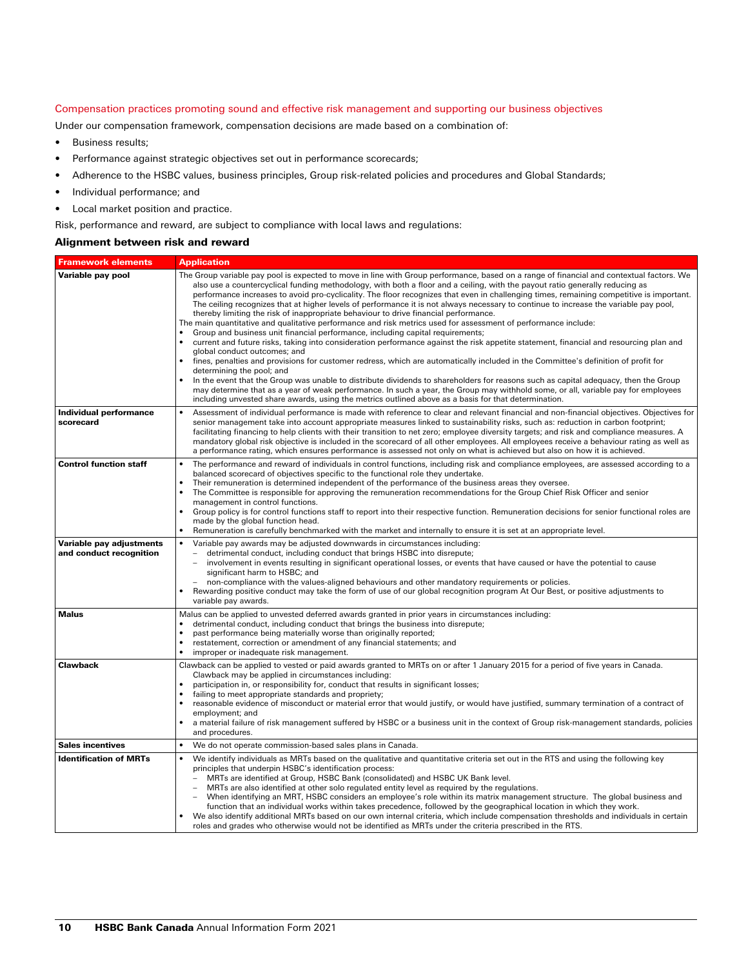## Compensation practices promoting sound and effective risk management and supporting our business objectives

Under our compensation framework, compensation decisions are made based on a combination of:

- Business results;
- Performance against strategic objectives set out in performance scorecards;
- Adherence to the HSBC values, business principles, Group risk-related policies and procedures and Global Standards;
- Individual performance; and
- Local market position and practice.

Risk, performance and reward, are subject to compliance with local laws and regulations:

# Alignment between risk and reward

| <b>Framework elements</b>                           | <b>Application</b>                                                                                                                                                                                                                                                                                                                                                                                                                                                                                                                                                                                                                                                                                                                                                                                                                                                                                                                                                                                                                                                                                                                                                                                                                                                                                                                                                                                                                                                                                                                                                                                                                |
|-----------------------------------------------------|-----------------------------------------------------------------------------------------------------------------------------------------------------------------------------------------------------------------------------------------------------------------------------------------------------------------------------------------------------------------------------------------------------------------------------------------------------------------------------------------------------------------------------------------------------------------------------------------------------------------------------------------------------------------------------------------------------------------------------------------------------------------------------------------------------------------------------------------------------------------------------------------------------------------------------------------------------------------------------------------------------------------------------------------------------------------------------------------------------------------------------------------------------------------------------------------------------------------------------------------------------------------------------------------------------------------------------------------------------------------------------------------------------------------------------------------------------------------------------------------------------------------------------------------------------------------------------------------------------------------------------------|
| Variable pay pool                                   | The Group variable pay pool is expected to move in line with Group performance, based on a range of financial and contextual factors. We<br>also use a countercyclical funding methodology, with both a floor and a ceiling, with the payout ratio generally reducing as<br>performance increases to avoid pro-cyclicality. The floor recognizes that even in challenging times, remaining competitive is important.<br>The ceiling recognizes that at higher levels of performance it is not always necessary to continue to increase the variable pay pool,<br>thereby limiting the risk of inappropriate behaviour to drive financial performance.<br>The main quantitative and qualitative performance and risk metrics used for assessment of performance include:<br>Group and business unit financial performance, including capital requirements;<br>$\bullet$<br>$\bullet$<br>current and future risks, taking into consideration performance against the risk appetite statement, financial and resourcing plan and<br>global conduct outcomes; and<br>$\bullet$<br>fines, penalties and provisions for customer redress, which are automatically included in the Committee's definition of profit for<br>determining the pool; and<br>In the event that the Group was unable to distribute dividends to shareholders for reasons such as capital adequacy, then the Group<br>may determine that as a year of weak performance. In such a year, the Group may withhold some, or all, variable pay for employees<br>including unvested share awards, using the metrics outlined above as a basis for that determination. |
| <b>Individual performance</b><br>scorecard          | Assessment of individual performance is made with reference to clear and relevant financial and non-financial objectives. Objectives for<br>$\bullet$<br>senior management take into account appropriate measures linked to sustainability risks, such as: reduction in carbon footprint;<br>facilitating financing to help clients with their transition to net zero; employee diversity targets; and risk and compliance measures. A<br>mandatory global risk objective is included in the scorecard of all other employees. All employees receive a behaviour rating as well as<br>a performance rating, which ensures performance is assessed not only on what is achieved but also on how it is achieved.                                                                                                                                                                                                                                                                                                                                                                                                                                                                                                                                                                                                                                                                                                                                                                                                                                                                                                                    |
| <b>Control function staff</b>                       | The performance and reward of individuals in control functions, including risk and compliance employees, are assessed according to a<br>$\bullet$<br>balanced scorecard of objectives specific to the functional role they undertake.<br>Their remuneration is determined independent of the performance of the business areas they oversee.<br>$\bullet$<br>$\bullet$<br>The Committee is responsible for approving the remuneration recommendations for the Group Chief Risk Officer and senior<br>management in control functions.<br>Group policy is for control functions staff to report into their respective function. Remuneration decisions for senior functional roles are<br>$\bullet$<br>made by the global function head.<br>Remuneration is carefully benchmarked with the market and internally to ensure it is set at an appropriate level.                                                                                                                                                                                                                                                                                                                                                                                                                                                                                                                                                                                                                                                                                                                                                                      |
| Variable pay adjustments<br>and conduct recognition | Variable pay awards may be adjusted downwards in circumstances including:<br>detrimental conduct, including conduct that brings HSBC into disrepute;<br>involvement in events resulting in significant operational losses, or events that have caused or have the potential to cause<br>$\overline{\phantom{0}}$<br>significant harm to HSBC; and<br>non-compliance with the values-aligned behaviours and other mandatory requirements or policies.<br>Rewarding positive conduct may take the form of use of our global recognition program At Our Best, or positive adjustments to<br>variable pay awards.                                                                                                                                                                                                                                                                                                                                                                                                                                                                                                                                                                                                                                                                                                                                                                                                                                                                                                                                                                                                                     |
| <b>Malus</b>                                        | Malus can be applied to unvested deferred awards granted in prior years in circumstances including:<br>$\bullet$<br>detrimental conduct, including conduct that brings the business into disrepute;<br>$\bullet$<br>past performance being materially worse than originally reported;<br>$\bullet$<br>restatement, correction or amendment of any financial statements; and<br>$\bullet$<br>improper or inadequate risk management.                                                                                                                                                                                                                                                                                                                                                                                                                                                                                                                                                                                                                                                                                                                                                                                                                                                                                                                                                                                                                                                                                                                                                                                               |
| <b>Clawback</b>                                     | Clawback can be applied to vested or paid awards granted to MRTs on or after 1 January 2015 for a period of five years in Canada.<br>Clawback may be applied in circumstances including:<br>participation in, or responsibility for, conduct that results in significant losses;<br>٠<br>failing to meet appropriate standards and propriety;<br>$\bullet$<br>reasonable evidence of misconduct or material error that would justify, or would have justified, summary termination of a contract of<br>employment; and<br>a material failure of risk management suffered by HSBC or a business unit in the context of Group risk-management standards, policies<br>and procedures.                                                                                                                                                                                                                                                                                                                                                                                                                                                                                                                                                                                                                                                                                                                                                                                                                                                                                                                                                |
| <b>Sales incentives</b>                             | We do not operate commission-based sales plans in Canada.                                                                                                                                                                                                                                                                                                                                                                                                                                                                                                                                                                                                                                                                                                                                                                                                                                                                                                                                                                                                                                                                                                                                                                                                                                                                                                                                                                                                                                                                                                                                                                         |
| <b>Identification of MRTs</b>                       | We identify individuals as MRTs based on the qualitative and quantitative criteria set out in the RTS and using the following key<br>principles that underpin HSBC's identification process:<br>MRTs are identified at Group, HSBC Bank (consolidated) and HSBC UK Bank level.<br>MRTs are also identified at other solo regulated entity level as required by the regulations.<br>$\overline{\phantom{0}}$<br>When identifying an MRT, HSBC considers an employee's role within its matrix management structure. The global business and<br>function that an individual works within takes precedence, followed by the geographical location in which they work.<br>We also identify additional MRTs based on our own internal criteria, which include compensation thresholds and individuals in certain<br>roles and grades who otherwise would not be identified as MRTs under the criteria prescribed in the RTS.                                                                                                                                                                                                                                                                                                                                                                                                                                                                                                                                                                                                                                                                                                            |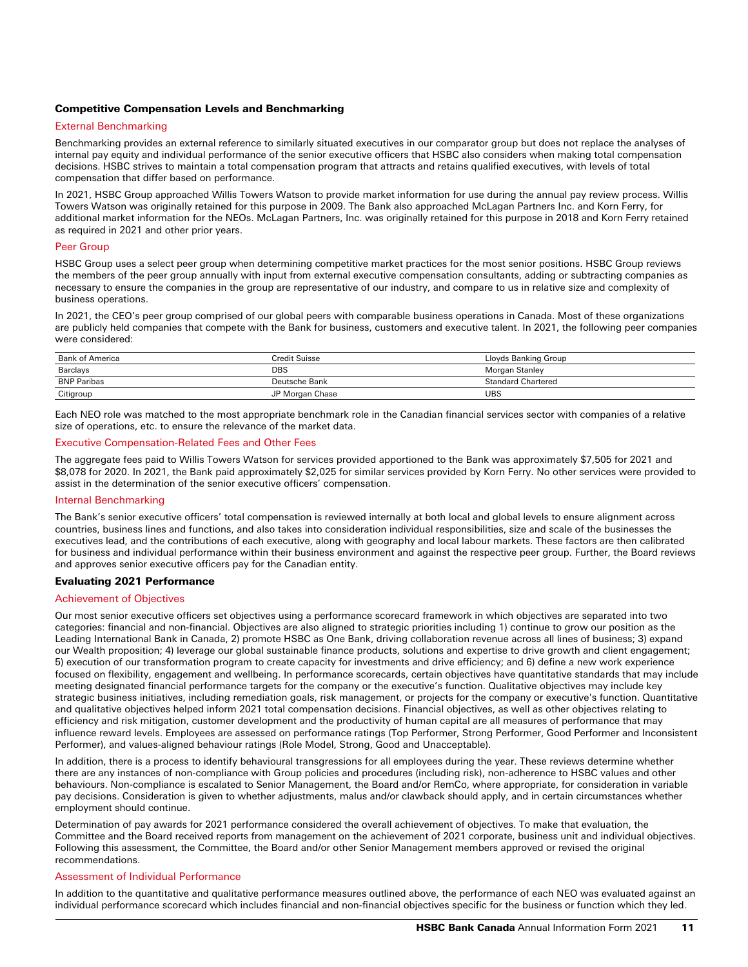## Competitive Compensation Levels and Benchmarking

## External Benchmarking

Benchmarking provides an external reference to similarly situated executives in our comparator group but does not replace the analyses of internal pay equity and individual performance of the senior executive officers that HSBC also considers when making total compensation decisions. HSBC strives to maintain a total compensation program that attracts and retains qualified executives, with levels of total compensation that differ based on performance.

In 2021, HSBC Group approached Willis Towers Watson to provide market information for use during the annual pay review process. Willis Towers Watson was originally retained for this purpose in 2009. The Bank also approached McLagan Partners Inc. and Korn Ferry, for additional market information for the NEOs. McLagan Partners, Inc. was originally retained for this purpose in 2018 and Korn Ferry retained as required in 2021 and other prior years.

#### Peer Group

HSBC Group uses a select peer group when determining competitive market practices for the most senior positions. HSBC Group reviews the members of the peer group annually with input from external executive compensation consultants, adding or subtracting companies as necessary to ensure the companies in the group are representative of our industry, and compare to us in relative size and complexity of business operations.

In 2021, the CEO's peer group comprised of our global peers with comparable business operations in Canada. Most of these organizations are publicly held companies that compete with the Bank for business, customers and executive talent. In 2021, the following peer companies were considered:

| <b>Bank of America</b> | Credit Suisse   | Lloyds Banking Group |
|------------------------|-----------------|----------------------|
| Barclays               | DBS             | Morgan Stanley       |
| <b>BNP Paribas</b>     | Deutsche Bank   | Standard Chartered   |
| Citigroup              | JP Morgan Chase | UBS                  |

Each NEO role was matched to the most appropriate benchmark role in the Canadian financial services sector with companies of a relative size of operations, etc. to ensure the relevance of the market data.

#### Executive Compensation-Related Fees and Other Fees

The aggregate fees paid to Willis Towers Watson for services provided apportioned to the Bank was approximately \$7,505 for 2021 and \$8,078 for 2020. In 2021, the Bank paid approximately \$2,025 for similar services provided by Korn Ferry. No other services were provided to assist in the determination of the senior executive officers' compensation.

## Internal Benchmarking

The Bank's senior executive officers' total compensation is reviewed internally at both local and global levels to ensure alignment across countries, business lines and functions, and also takes into consideration individual responsibilities, size and scale of the businesses the executives lead, and the contributions of each executive, along with geography and local labour markets. These factors are then calibrated for business and individual performance within their business environment and against the respective peer group. Further, the Board reviews and approves senior executive officers pay for the Canadian entity.

# Evaluating 2021 Performance

#### Achievement of Objectives

Our most senior executive officers set objectives using a performance scorecard framework in which objectives are separated into two categories: financial and non-financial. Objectives are also aligned to strategic priorities including 1) continue to grow our position as the Leading International Bank in Canada, 2) promote HSBC as One Bank, driving collaboration revenue across all lines of business; 3) expand our Wealth proposition; 4) leverage our global sustainable finance products, solutions and expertise to drive growth and client engagement; 5) execution of our transformation program to create capacity for investments and drive efficiency; and 6) define a new work experience focused on flexibility, engagement and wellbeing. In performance scorecards, certain objectives have quantitative standards that may include meeting designated financial performance targets for the company or the executive's function. Qualitative objectives may include key strategic business initiatives, including remediation goals, risk management, or projects for the company or executive's function. Quantitative and qualitative objectives helped inform 2021 total compensation decisions. Financial objectives, as well as other objectives relating to efficiency and risk mitigation, customer development and the productivity of human capital are all measures of performance that may influence reward levels. Employees are assessed on performance ratings (Top Performer, Strong Performer, Good Performer and Inconsistent Performer), and values-aligned behaviour ratings (Role Model, Strong, Good and Unacceptable).

In addition, there is a process to identify behavioural transgressions for all employees during the year. These reviews determine whether there are any instances of non-compliance with Group policies and procedures (including risk), non-adherence to HSBC values and other behaviours. Non-compliance is escalated to Senior Management, the Board and/or RemCo, where appropriate, for consideration in variable pay decisions. Consideration is given to whether adjustments, malus and/or clawback should apply, and in certain circumstances whether employment should continue.

Determination of pay awards for 2021 performance considered the overall achievement of objectives. To make that evaluation, the Committee and the Board received reports from management on the achievement of 2021 corporate, business unit and individual objectives. Following this assessment, the Committee, the Board and/or other Senior Management members approved or revised the original recommendations.

## Assessment of Individual Performance

In addition to the quantitative and qualitative performance measures outlined above, the performance of each NEO was evaluated against an individual performance scorecard which includes financial and non-financial objectives specific for the business or function which they led.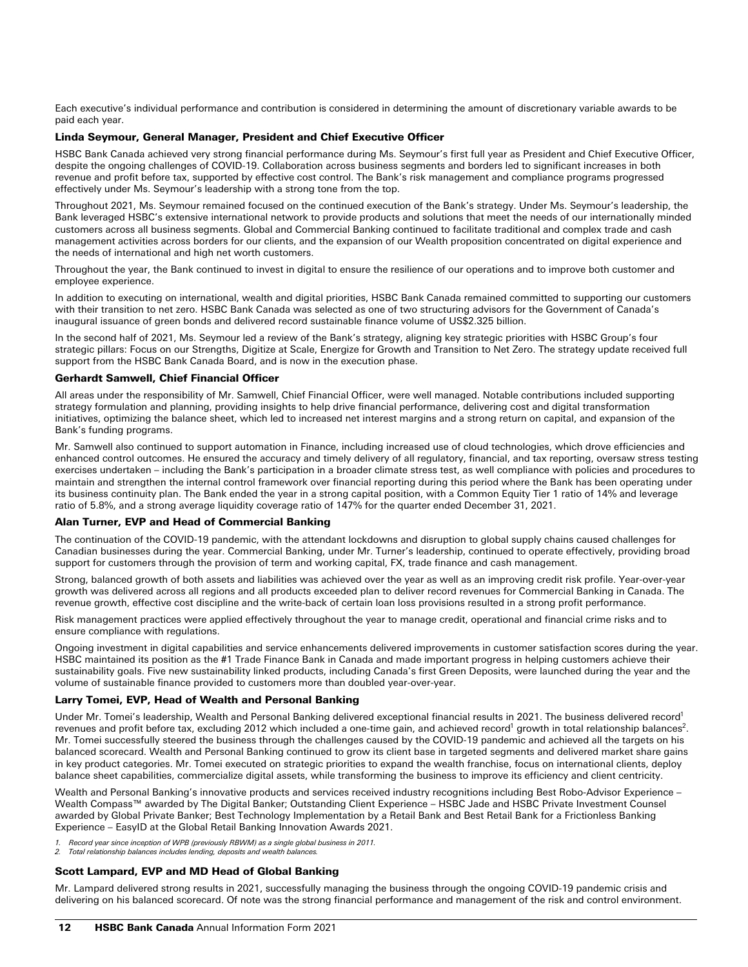Each executive's individual performance and contribution is considered in determining the amount of discretionary variable awards to be paid each year.

## Linda Seymour, General Manager, President and Chief Executive Officer

HSBC Bank Canada achieved very strong financial performance during Ms. Seymour's first full year as President and Chief Executive Officer, despite the ongoing challenges of COVID-19. Collaboration across business segments and borders led to significant increases in both revenue and profit before tax, supported by effective cost control. The Bank's risk management and compliance programs progressed effectively under Ms. Seymour's leadership with a strong tone from the top.

Throughout 2021, Ms. Seymour remained focused on the continued execution of the Bank's strategy. Under Ms. Seymour's leadership, the Bank leveraged HSBC's extensive international network to provide products and solutions that meet the needs of our internationally minded customers across all business segments. Global and Commercial Banking continued to facilitate traditional and complex trade and cash management activities across borders for our clients, and the expansion of our Wealth proposition concentrated on digital experience and the needs of international and high net worth customers.

Throughout the year, the Bank continued to invest in digital to ensure the resilience of our operations and to improve both customer and employee experience.

In addition to executing on international, wealth and digital priorities, HSBC Bank Canada remained committed to supporting our customers with their transition to net zero. HSBC Bank Canada was selected as one of two structuring advisors for the Government of Canada's inaugural issuance of green bonds and delivered record sustainable finance volume of US\$2.325 billion.

In the second half of 2021, Ms. Seymour led a review of the Bank's strategy, aligning key strategic priorities with HSBC Group's four strategic pillars: Focus on our Strengths, Digitize at Scale, Energize for Growth and Transition to Net Zero. The strategy update received full support from the HSBC Bank Canada Board, and is now in the execution phase.

#### Gerhardt Samwell, Chief Financial Officer

All areas under the responsibility of Mr. Samwell, Chief Financial Officer, were well managed. Notable contributions included supporting strategy formulation and planning, providing insights to help drive financial performance, delivering cost and digital transformation initiatives, optimizing the balance sheet, which led to increased net interest margins and a strong return on capital, and expansion of the Bank's funding programs.

Mr. Samwell also continued to support automation in Finance, including increased use of cloud technologies, which drove efficiencies and enhanced control outcomes. He ensured the accuracy and timely delivery of all regulatory, financial, and tax reporting, oversaw stress testing exercises undertaken – including the Bank's participation in a broader climate stress test, as well compliance with policies and procedures to maintain and strengthen the internal control framework over financial reporting during this period where the Bank has been operating under its business continuity plan. The Bank ended the year in a strong capital position, with a Common Equity Tier 1 ratio of 14% and leverage ratio of 5.8%, and a strong average liquidity coverage ratio of 147% for the quarter ended December 31, 2021.

## Alan Turner, EVP and Head of Commercial Banking

The continuation of the COVID-19 pandemic, with the attendant lockdowns and disruption to global supply chains caused challenges for Canadian businesses during the year. Commercial Banking, under Mr. Turner's leadership, continued to operate effectively, providing broad support for customers through the provision of term and working capital, FX, trade finance and cash management.

Strong, balanced growth of both assets and liabilities was achieved over the year as well as an improving credit risk profile. Year-over-year growth was delivered across all regions and all products exceeded plan to deliver record revenues for Commercial Banking in Canada. The revenue growth, effective cost discipline and the write-back of certain loan loss provisions resulted in a strong profit performance.

Risk management practices were applied effectively throughout the year to manage credit, operational and financial crime risks and to ensure compliance with regulations.

Ongoing investment in digital capabilities and service enhancements delivered improvements in customer satisfaction scores during the year. HSBC maintained its position as the #1 Trade Finance Bank in Canada and made important progress in helping customers achieve their sustainability goals. Five new sustainability linked products, including Canada's first Green Deposits, were launched during the year and the volume of sustainable finance provided to customers more than doubled year-over-year.

### Larry Tomei, EVP, Head of Wealth and Personal Banking

Under Mr. Tomei's leadership, Wealth and Personal Banking delivered exceptional financial results in 2021. The business delivered record<sup>1</sup> revenues and profit before tax, excluding 2012 which included a one-time gain, and achieved record<sup>1</sup> growth in total relationship balances<sup>2</sup>. Mr. Tomei successfully steered the business through the challenges caused by the COVID-19 pandemic and achieved all the targets on his balanced scorecard. Wealth and Personal Banking continued to grow its client base in targeted segments and delivered market share gains in key product categories. Mr. Tomei executed on strategic priorities to expand the wealth franchise, focus on international clients, deploy balance sheet capabilities, commercialize digital assets, while transforming the business to improve its efficiency and client centricity.

Wealth and Personal Banking's innovative products and services received industry recognitions including Best Robo-Advisor Experience – Wealth Compass™ awarded by The Digital Banker; Outstanding Client Experience – HSBC Jade and HSBC Private Investment Counsel awarded by Global Private Banker; Best Technology Implementation by a Retail Bank and Best Retail Bank for a Frictionless Banking Experience – EasyID at the Global Retail Banking Innovation Awards 2021.

- *1. Record year since inception of WPB (previously RBWM) as a single global business in 2011.*
- *2. Total relationship balances includes lending, deposits and wealth balances.*

#### Scott Lampard, EVP and MD Head of Global Banking

Mr. Lampard delivered strong results in 2021, successfully managing the business through the ongoing COVID-19 pandemic crisis and delivering on his balanced scorecard. Of note was the strong financial performance and management of the risk and control environment.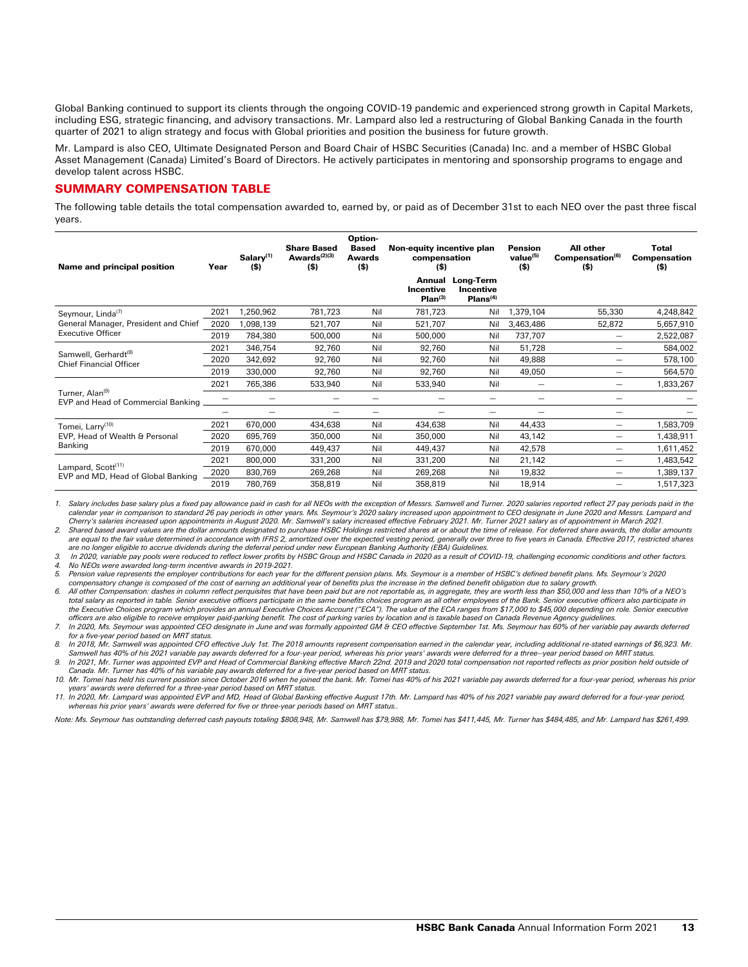Global Banking continued to support its clients through the ongoing COVID-19 pandemic and experienced strong growth in Capital Markets, including ESG, strategic financing, and advisory transactions. Mr. Lampard also led a restructuring of Global Banking Canada in the fourth quarter of 2021 to align strategy and focus with Global priorities and position the business for future growth.

Mr. Lampard is also CEO, Ultimate Designated Person and Board Chair of HSBC Securities (Canada) Inc. and a member of HSBC Global Asset Management (Canada) Limited's Board of Directors. He actively participates in mentoring and sponsorship programs to engage and develop talent across HSBC.

## SUMMARY COMPENSATION TABLE

The following table details the total compensation awarded to, earned by, or paid as of December 31st to each NEO over the past three fiscal years.

| Name and principal position                                          | Year | $S$ alary <sup>(1)</sup><br>$($ \$) | <b>Share Based</b><br>Awards $(2)(3)$<br>$($ \$) | Option-<br><b>Based</b><br><b>Awards</b><br>$($ \$) | Non-equity incentive plan<br>compensation<br>(\$) |                                                       | <b>Pension</b><br>value <sup>(5)</sup><br>$($ \$) | All other<br>Compensation <sup>(6)</sup><br>(\$) | Total<br><b>Compensation</b><br>(\$) |
|----------------------------------------------------------------------|------|-------------------------------------|--------------------------------------------------|-----------------------------------------------------|---------------------------------------------------|-------------------------------------------------------|---------------------------------------------------|--------------------------------------------------|--------------------------------------|
|                                                                      |      |                                     |                                                  |                                                     | Incentive<br>Plan <sup>(3)</sup>                  | Annual Long-Term<br>Incentive<br>Plans <sup>(4)</sup> |                                                   |                                                  |                                      |
| Seymour, Linda <sup>(7)</sup>                                        | 2021 | 1,250,962                           | 781,723                                          | Nil                                                 | 781,723                                           | Nil                                                   | 1,379,104                                         | 55,330                                           | 4,248,842                            |
| General Manager, President and Chief                                 | 2020 | 1,098,139                           | 521,707                                          | Nil                                                 | 521,707                                           | Nil                                                   | 3,463,486                                         | 52,872                                           | 5,657,910                            |
| <b>Executive Officer</b>                                             | 2019 | 784,380                             | 500,000                                          | Nil                                                 | 500,000                                           | Nil                                                   | 737,707                                           | —                                                | 2,522,087                            |
| Samwell, Gerhardt <sup>(8)</sup><br><b>Chief Financial Officer</b>   | 2021 | 346,754                             | 92,760                                           | Nil                                                 | 92,760                                            | Nil                                                   | 51,728                                            |                                                  | 584,002                              |
|                                                                      | 2020 | 342,692                             | 92,760                                           | Nil                                                 | 92,760                                            | Nil                                                   | 49,888                                            | —                                                | 578,100                              |
|                                                                      | 2019 | 330,000                             | 92,760                                           | Nil                                                 | 92,760                                            | Nil                                                   | 49,050                                            | —                                                | 564,570                              |
|                                                                      | 2021 | 765,386                             | 533,940                                          | Nil                                                 | 533,940                                           | Nil                                                   | —                                                 | $\overline{\phantom{0}}$                         | 1,833,267                            |
| Turner, Alan <sup>(9)</sup><br>EVP and Head of Commercial Banking    |      |                                     |                                                  |                                                     |                                                   |                                                       |                                                   |                                                  |                                      |
|                                                                      |      |                                     |                                                  |                                                     |                                                   |                                                       |                                                   | —                                                |                                      |
| Tomei, Larry <sup>(10)</sup>                                         | 2021 | 670,000                             | 434,638                                          | Nil                                                 | 434,638                                           | Nil                                                   | 44,433                                            | —                                                | 1,583,709                            |
| EVP. Head of Wealth & Personal<br>Banking                            | 2020 | 695,769                             | 350,000                                          | Nil                                                 | 350,000                                           | Nil                                                   | 43,142                                            | —                                                | 1,438,911                            |
|                                                                      | 2019 | 670,000                             | 449,437                                          | Nil                                                 | 449,437                                           | Nil                                                   | 42,578                                            | —                                                | 1,611,452                            |
|                                                                      | 2021 | 800,000                             | 331,200                                          | Nil                                                 | 331,200                                           | Nil                                                   | 21,142                                            | $\overline{\phantom{0}}$                         | 1,483,542                            |
| Lampard, Scott <sup>(11)</sup><br>EVP and MD, Head of Global Banking | 2020 | 830,769                             | 269,268                                          | Nil                                                 | 269,268                                           | Nil                                                   | 19,832                                            | —                                                | 1,389,137                            |
|                                                                      | 2019 | 780,769                             | 358,819                                          | Nil                                                 | 358,819                                           | Nil                                                   | 18,914                                            | —                                                | 1,517,323                            |
|                                                                      |      |                                     |                                                  |                                                     |                                                   |                                                       |                                                   |                                                  |                                      |

*1. Salary includes base salary plus a fixed pay allowance paid in cash for all NEOs with the exception of Messrs. Samwell and Turner. 2020 salaries reported reflect 27 pay periods paid in the calendar year in comparison to standard 26 pay periods in other years. Ms. Seymour's 2020 salary increased upon appointment to CEO designate in June 2020 and Messrs. Lampard and Cherry's salaries increased upon appointments in August 2020. Mr. Samwell's salary increased effective February 2021. Mr. Turner 2021 salary as of appointment in March 2021.*

2. Shared based award values are the dollar amounts designated to purchase HSBC Holdings restricted shares at or about the time of release. For deferred share awards, the dollar amounts<br>are equal to the fair value determin *are no longer eligible to accrue dividends during the deferral period under new European Banking Authority (EBA) Guidelines.*

3. In 2020, variable pay pools were reduced to reflect lower profits by HSBC Group and HSBC Canada in 2020 as a result of COVID-19, challenging economic conditions and other factors.<br>4. No NEOs were awarded long-term incen

*5. Pension value represents the employer contributions for each year for the different pension plans. Ms. Seymour is a member of HSBC's defined benefit plans. Ms. Seymour's 2020 compensatory change is composed of the cost of earning an additional year of benefits plus the increase in the defined benefit obligation due to salary growth.*

*6. All other Compensation: dashes in column reflect perquisites that have been paid but are not reportable as, in aggregate, they are worth less than \$50,000 and less than 10% of a NEO's*  total salary as reported in table. Senior executive officers participate in the same benefits choices program as all other employees of the Bank. Senior executive officers also participate in the Executive Choices program which provides an annual Executive Choices Account ("ECA"). The value of the ECA ranges from \$17,000 to \$45,000 depending on role. Senior executive

officers are also eligible to receive employer paid-parking benefit. The cost of parking varies by location and is taxable based on Canada Revenue Agency guidelines.<br>7. In 2020, Ms. Seymour was appointed CEO designate in *for a five-year period based on MRT status.*

8. In 2018, Mr. Samwell was appointed CFO effective July 1st. The 2018 amounts represent compensation earned in the calendar year, including additional re-stated earnings of \$6,923. Mr. *Samwell has 40% of his 2021 variable pay awards deferred for a four-year period, whereas his prior years' awards were deferred for a three--year period based on MRT status. 9. In 2021, Mr. Turner was appointed EVP and Head of Commercial Banking effective March 22nd. 2019 and 2020 total compensation not reported reflects as prior position held outside of* 

*Canada. Mr. Turner has 40% of his variable pay awards deferred for a five-year period based on MRT status. 10. Mr. Tomei has held his current position since October 2016 when he joined the bank. Mr. Tomei has 40% of his 2021 variable pay awards deferred for a four-year period, whereas his prior* 

years' awards were deferred for a three-year period based on MRT status.<br>11. In 2020, Mr. Lampard was appointed EVP and MD, Head of Global Banking effective August 17th. Mr. Lampard has 40% of his 2021 variable pay award d *whereas his prior years' awards were deferred for five or three-year periods based on MRT status..* 

*Note: Ms. Seymour has outstanding deferred cash payouts totaling \$808,948, Mr. Samwell has \$79,988, Mr. Tomei has \$411,445, Mr. Turner has \$484,485, and Mr. Lampard has \$261,499.*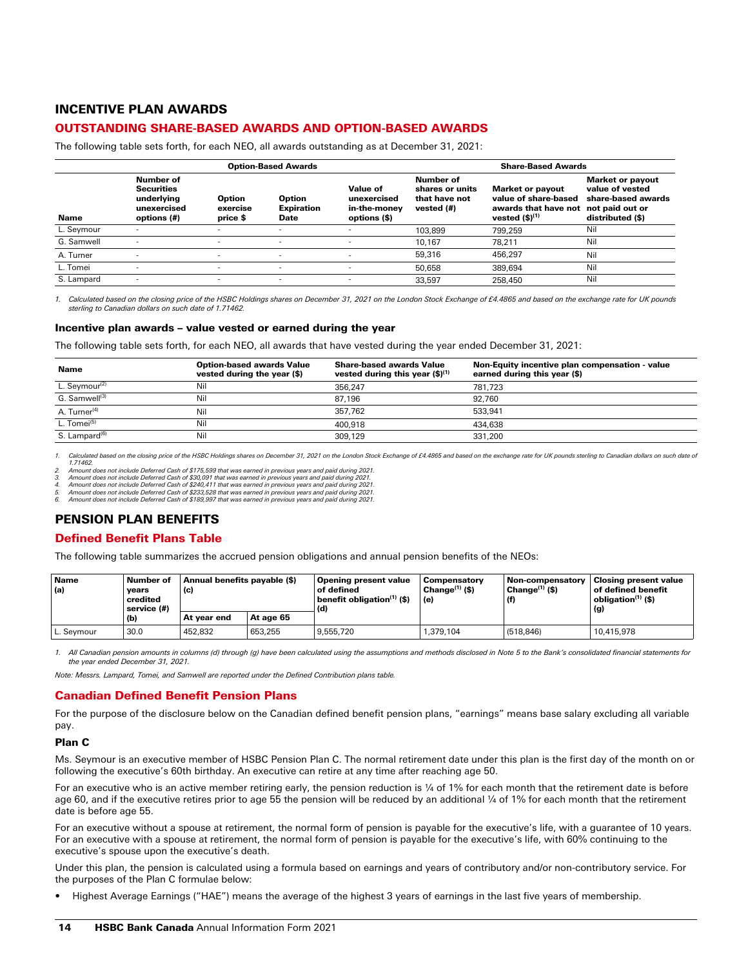# INCENTIVE PLAN AWARDS

# OUTSTANDING SHARE-BASED AWARDS AND OPTION-BASED AWARDS

The following table sets forth, for each NEO, all awards outstanding as at December 31, 2021:

|            | <b>Option-Based Awards</b>                                                 |                                |                                            |                                                         |                                                             | <b>Share-Based Awards</b>                                                                                  |                                                                                      |  |
|------------|----------------------------------------------------------------------------|--------------------------------|--------------------------------------------|---------------------------------------------------------|-------------------------------------------------------------|------------------------------------------------------------------------------------------------------------|--------------------------------------------------------------------------------------|--|
| Name       | Number of<br><b>Securities</b><br>underlying<br>unexercised<br>options (#) | Option<br>exercise<br>price \$ | <b>Option</b><br><b>Expiration</b><br>Date | Value of<br>unexercised<br>in-the-money<br>options (\$) | Number of<br>shares or units<br>that have not<br>vested (#) | <b>Market or payout</b><br>value of share-based<br>awards that have not not paid out or<br>vested $(5)(1)$ | <b>Market or payout</b><br>value of vested<br>share-based awards<br>distributed (\$) |  |
| L. Seymour |                                                                            | ۰                              | $\overline{\phantom{a}}$                   | -                                                       | 103.899                                                     | 799.259                                                                                                    | Nil                                                                                  |  |
| G. Samwell |                                                                            |                                | -                                          |                                                         | 10.167                                                      | 78.211                                                                                                     | Nil                                                                                  |  |
| A. Turner  |                                                                            | $\overline{\phantom{a}}$       | $\overline{\phantom{a}}$                   |                                                         | 59.316                                                      | 456.297                                                                                                    | Nil                                                                                  |  |
| L. Tomei   |                                                                            | $\overline{\phantom{a}}$       | $\overline{\phantom{a}}$                   | -                                                       | 50,658                                                      | 389.694                                                                                                    | Nil                                                                                  |  |
| S. Lampard |                                                                            | -                              | $\overline{\phantom{a}}$                   | -                                                       | 33.597                                                      | 258,450                                                                                                    | Nil                                                                                  |  |

*1. Calculated based on the closing price of the HSBC Holdings shares on December 31, 2021 on the London Stock Exchange of £4.4865 and based on the exchange rate for UK pounds sterling to Canadian dollars on such date of 1.71462.*

#### Incentive plan awards – value vested or earned during the year

The following table sets forth, for each NEO, all awards that have vested during the year ended December 31, 2021:

| Name                      | <b>Option-based awards Value</b><br>vested during the year (\$) | <b>Share-based awards Value</b><br>vested during this year $(\$)^{(1)}$ | Non-Equity incentive plan compensation - value<br>earned during this year (\$) |
|---------------------------|-----------------------------------------------------------------|-------------------------------------------------------------------------|--------------------------------------------------------------------------------|
| L. Seymour <sup>(2)</sup> | Nil                                                             | 356.247                                                                 | 781.723                                                                        |
| G. Samwell <sup>(3)</sup> | Nil                                                             | 87.196                                                                  | 92.760                                                                         |
| A. Turner <sup>(4)</sup>  | Nil                                                             | 357.762                                                                 | 533.941                                                                        |
| L. Tomei <sup>(5)</sup>   | Nil                                                             | 400.918                                                                 | 434.638                                                                        |
| S. Lampard <sup>(6)</sup> | Nil                                                             | 309.129                                                                 | 331.200                                                                        |

1. Calculated based on the closing price of the HSBC Holdings shares on December 31, 2021 on the London Stock Exchange of £4,4865 and based on the exchange rate for UK pounds sterling to Canadian dollars on such date of *1.71462.*

*2. Amount does not include Deferred Cash of \$175,599 that was earned in previous years and paid during 2021. 3. Amount does not include Deferred Cash of \$30,091 that was earned in previous years and paid during 2021.*

*4. Amount does not include Deferred Cash of \$240,411 that was earned in previous years and paid during 2021.*

5. Amount does not include Deferred Cash of \$233,528 that was earned in previous years and paid during 2021.<br>6. Amount does not include Deferred Cash of \$189,997 that was earned in previous years and paid during 20

# PENSION PLAN BENEFITS

# Defined Benefit Plans Table

The following table summarizes the accrued pension obligations and annual pension benefits of the NEOs:

| Name<br>(a) | Number of<br>years<br>credited<br>service (#) | Annual benefits payable (\$)<br>(c) |           | Opening present value<br>of defined<br>benefit obligation(1) (\$)<br>(d) | <b>Compensatory</b><br>Change $(1)$ (\$)<br>(e) | <b>Non-compensatory</b><br>$ $ Change $^{(1)}$ (\$) | <b>Closing present value</b><br>$\,$ of defined benefit $\,$<br>obligation <sup>(1)</sup> (\$)<br>(g) |  |
|-------------|-----------------------------------------------|-------------------------------------|-----------|--------------------------------------------------------------------------|-------------------------------------------------|-----------------------------------------------------|-------------------------------------------------------------------------------------------------------|--|
|             | (b)                                           | At vear end                         | At age 65 |                                                                          |                                                 |                                                     |                                                                                                       |  |
| L. Seymour  | 30.0                                          | 452.832                             | 653.255   | 9.555.720                                                                | .379.104                                        | (518,846)                                           | 10.415.978                                                                                            |  |

1. All Canadian pension amounts in columns (d) through (g) have been calculated using the assumptions and methods disclosed in Note 5 to the Bank's consolidated financial statements for *the year ended December 31, 2021.* 

*Note: Messrs. Lampard, Tomei, and Samwell are reported under the Defined Contribution plans table.*

# Canadian Defined Benefit Pension Plans

For the purpose of the disclosure below on the Canadian defined benefit pension plans, "earnings" means base salary excluding all variable pay.

## Plan C

Ms. Seymour is an executive member of HSBC Pension Plan C. The normal retirement date under this plan is the first day of the month on or following the executive's 60th birthday. An executive can retire at any time after reaching age 50.

For an executive who is an active member retiring early, the pension reduction is ¼ of 1% for each month that the retirement date is before age 60, and if the executive retires prior to age 55 the pension will be reduced by an additional ¼ of 1% for each month that the retirement date is before age 55.

For an executive without a spouse at retirement, the normal form of pension is payable for the executive's life, with a guarantee of 10 years. For an executive with a spouse at retirement, the normal form of pension is payable for the executive's life, with 60% continuing to the executive's spouse upon the executive's death.

Under this plan, the pension is calculated using a formula based on earnings and years of contributory and/or non-contributory service. For the purposes of the Plan C formulae below:

• Highest Average Earnings ("HAE") means the average of the highest 3 years of earnings in the last five years of membership.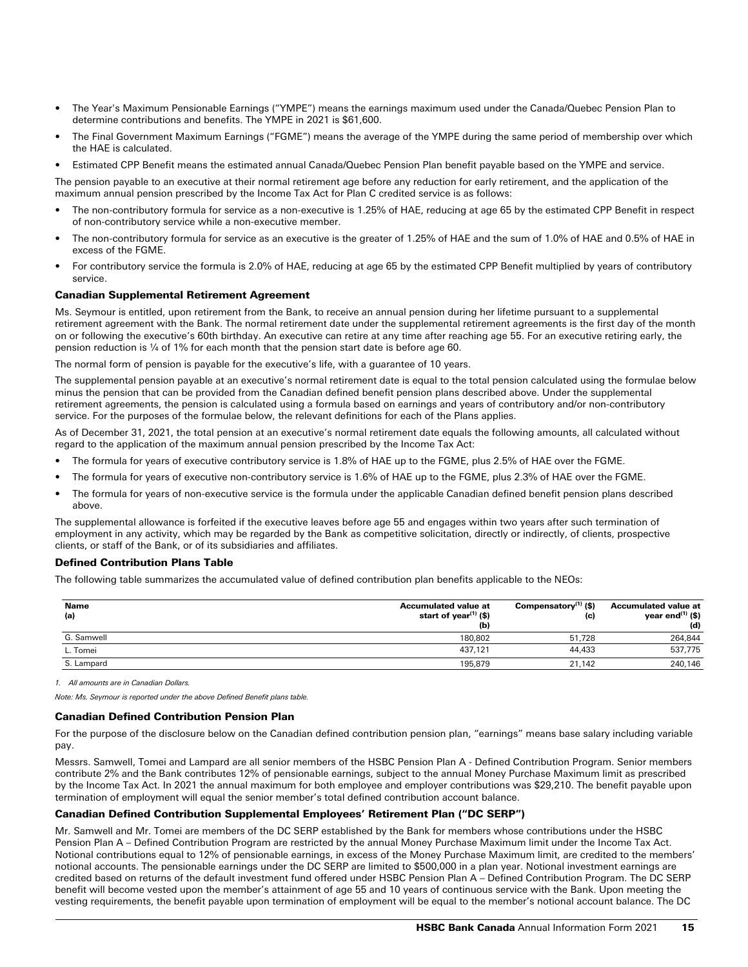- The Year's Maximum Pensionable Earnings ("YMPE") means the earnings maximum used under the Canada/Quebec Pension Plan to determine contributions and benefits. The YMPE in 2021 is \$61,600.
- The Final Government Maximum Earnings ("FGME") means the average of the YMPE during the same period of membership over which the HAE is calculated.
- Estimated CPP Benefit means the estimated annual Canada/Quebec Pension Plan benefit payable based on the YMPE and service.

The pension payable to an executive at their normal retirement age before any reduction for early retirement, and the application of the maximum annual pension prescribed by the Income Tax Act for Plan C credited service is as follows:

- The non-contributory formula for service as a non-executive is 1.25% of HAE, reducing at age 65 by the estimated CPP Benefit in respect of non-contributory service while a non-executive member.
- The non-contributory formula for service as an executive is the greater of 1.25% of HAE and the sum of 1.0% of HAE and 0.5% of HAE in excess of the FGME.
- For contributory service the formula is 2.0% of HAE, reducing at age 65 by the estimated CPP Benefit multiplied by years of contributory service.

## Canadian Supplemental Retirement Agreement

Ms. Seymour is entitled, upon retirement from the Bank, to receive an annual pension during her lifetime pursuant to a supplemental retirement agreement with the Bank. The normal retirement date under the supplemental retirement agreements is the first day of the month on or following the executive's 60th birthday. An executive can retire at any time after reaching age 55. For an executive retiring early, the pension reduction is ¼ of 1% for each month that the pension start date is before age 60.

The normal form of pension is payable for the executive's life, with a guarantee of 10 years.

The supplemental pension payable at an executive's normal retirement date is equal to the total pension calculated using the formulae below minus the pension that can be provided from the Canadian defined benefit pension plans described above. Under the supplemental retirement agreements, the pension is calculated using a formula based on earnings and years of contributory and/or non-contributory service. For the purposes of the formulae below, the relevant definitions for each of the Plans applies.

As of December 31, 2021, the total pension at an executive's normal retirement date equals the following amounts, all calculated without regard to the application of the maximum annual pension prescribed by the Income Tax Act:

- The formula for years of executive contributory service is 1.8% of HAE up to the FGME, plus 2.5% of HAE over the FGME.
- The formula for years of executive non-contributory service is 1.6% of HAE up to the FGME, plus 2.3% of HAE over the FGME.
- The formula for years of non-executive service is the formula under the applicable Canadian defined benefit pension plans described above.

The supplemental allowance is forfeited if the executive leaves before age 55 and engages within two years after such termination of employment in any activity, which may be regarded by the Bank as competitive solicitation, directly or indirectly, of clients, prospective clients, or staff of the Bank, or of its subsidiaries and affiliates.

#### Defined Contribution Plans Table

The following table summarizes the accumulated value of defined contribution plan benefits applicable to the NEOs:

| <b>Name</b><br>(a) | <b>Accumulated value at</b><br>start of year $(1)$ (\$)<br>(b) | Compensatory $(1)$ (\$)<br>(c) | <b>Accumulated value at</b><br>year end <sup>(1)</sup> (\$)<br>(d) |
|--------------------|----------------------------------------------------------------|--------------------------------|--------------------------------------------------------------------|
| G. Samwell         | 180.802                                                        | 51.728                         | 264,844                                                            |
| L. Tomei           | 437.121                                                        | 44,433                         | 537,775                                                            |
| S. Lampard         | 195.879                                                        | 21.142                         | 240,146                                                            |

*1. All amounts are in Canadian Dollars.* 

*Note: Ms. Seymour is reported under the above Defined Benefit plans table.*

## Canadian Defined Contribution Pension Plan

For the purpose of the disclosure below on the Canadian defined contribution pension plan, "earnings" means base salary including variable pay.

Messrs. Samwell, Tomei and Lampard are all senior members of the HSBC Pension Plan A - Defined Contribution Program. Senior members contribute 2% and the Bank contributes 12% of pensionable earnings, subject to the annual Money Purchase Maximum limit as prescribed by the Income Tax Act. In 2021 the annual maximum for both employee and employer contributions was \$29,210. The benefit payable upon termination of employment will equal the senior member's total defined contribution account balance.

## Canadian Defined Contribution Supplemental Employees' Retirement Plan ("DC SERP")

Mr. Samwell and Mr. Tomei are members of the DC SERP established by the Bank for members whose contributions under the HSBC Pension Plan A – Defined Contribution Program are restricted by the annual Money Purchase Maximum limit under the Income Tax Act. Notional contributions equal to 12% of pensionable earnings, in excess of the Money Purchase Maximum limit, are credited to the members' notional accounts. The pensionable earnings under the DC SERP are limited to \$500,000 in a plan year. Notional investment earnings are credited based on returns of the default investment fund offered under HSBC Pension Plan A – Defined Contribution Program. The DC SERP benefit will become vested upon the member's attainment of age 55 and 10 years of continuous service with the Bank. Upon meeting the vesting requirements, the benefit payable upon termination of employment will be equal to the member's notional account balance. The DC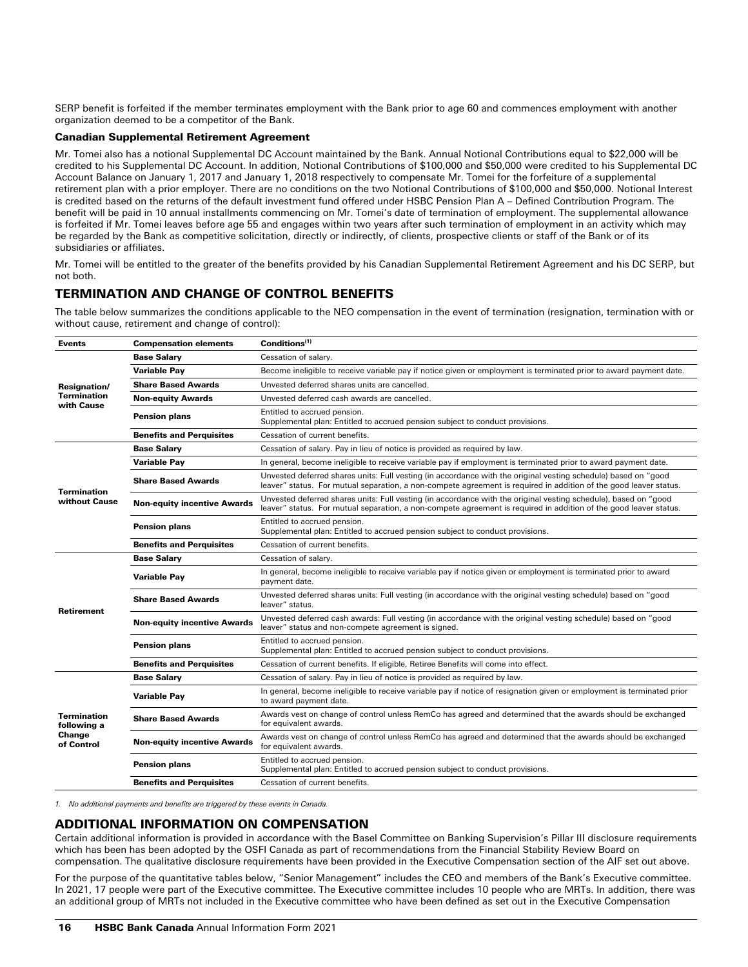SERP benefit is forfeited if the member terminates employment with the Bank prior to age 60 and commences employment with another organization deemed to be a competitor of the Bank.

## Canadian Supplemental Retirement Agreement

Mr. Tomei also has a notional Supplemental DC Account maintained by the Bank. Annual Notional Contributions equal to \$22,000 will be credited to his Supplemental DC Account. In addition, Notional Contributions of \$100,000 and \$50,000 were credited to his Supplemental DC Account Balance on January 1, 2017 and January 1, 2018 respectively to compensate Mr. Tomei for the forfeiture of a supplemental retirement plan with a prior employer. There are no conditions on the two Notional Contributions of \$100,000 and \$50,000. Notional Interest is credited based on the returns of the default investment fund offered under HSBC Pension Plan A – Defined Contribution Program. The benefit will be paid in 10 annual installments commencing on Mr. Tomei's date of termination of employment. The supplemental allowance is forfeited if Mr. Tomei leaves before age 55 and engages within two years after such termination of employment in an activity which may be regarded by the Bank as competitive solicitation, directly or indirectly, of clients, prospective clients or staff of the Bank or of its subsidiaries or affiliates.

Mr. Tomei will be entitled to the greater of the benefits provided by his Canadian Supplemental Retirement Agreement and his DC SERP, but not both.

# TERMINATION AND CHANGE OF CONTROL BENEFITS

The table below summarizes the conditions applicable to the NEO compensation in the event of termination (resignation, termination with or without cause, retirement and change of control):

| <b>Events</b>                                             | <b>Compensation elements</b>       | Conditions <sup>(1)</sup>                                                                                                                                                                                                            |
|-----------------------------------------------------------|------------------------------------|--------------------------------------------------------------------------------------------------------------------------------------------------------------------------------------------------------------------------------------|
|                                                           | <b>Base Salary</b>                 | Cessation of salary.                                                                                                                                                                                                                 |
|                                                           | <b>Variable Pay</b>                | Become ineligible to receive variable pay if notice given or employment is terminated prior to award payment date.                                                                                                                   |
| <b>Resignation/</b>                                       | <b>Share Based Awards</b>          | Unvested deferred shares units are cancelled.                                                                                                                                                                                        |
| <b>Termination</b><br>with Cause                          | <b>Non-equity Awards</b>           | Unvested deferred cash awards are cancelled.                                                                                                                                                                                         |
|                                                           | <b>Pension plans</b>               | Entitled to accrued pension.<br>Supplemental plan: Entitled to accrued pension subject to conduct provisions.                                                                                                                        |
|                                                           | <b>Benefits and Perquisites</b>    | Cessation of current benefits.                                                                                                                                                                                                       |
|                                                           | <b>Base Salarv</b>                 | Cessation of salary. Pay in lieu of notice is provided as required by law.                                                                                                                                                           |
| <b>Termination</b><br>without Cause                       | <b>Variable Pay</b>                | In general, become ineligible to receive variable pay if employment is terminated prior to award payment date.                                                                                                                       |
|                                                           | <b>Share Based Awards</b>          | Unvested deferred shares units: Full vesting (in accordance with the original vesting schedule) based on "good<br>leaver" status. For mutual separation, a non-compete agreement is required in addition of the good leaver status.  |
|                                                           | <b>Non-equity incentive Awards</b> | Unvested deferred shares units: Full vesting (in accordance with the original vesting schedule), based on "good<br>leaver" status. For mutual separation, a non-compete agreement is required in addition of the good leaver status. |
|                                                           | <b>Pension plans</b>               | Entitled to accrued pension.<br>Supplemental plan: Entitled to accrued pension subject to conduct provisions.                                                                                                                        |
|                                                           | <b>Benefits and Perquisites</b>    | Cessation of current benefits.                                                                                                                                                                                                       |
|                                                           | <b>Base Salary</b>                 | Cessation of salary.                                                                                                                                                                                                                 |
|                                                           | <b>Variable Pay</b>                | In general, become ineligible to receive variable pay if notice given or employment is terminated prior to award<br>payment date.                                                                                                    |
| <b>Retirement</b>                                         | <b>Share Based Awards</b>          | Unvested deferred shares units: Full vesting (in accordance with the original vesting schedule) based on "good<br>leaver" status.                                                                                                    |
|                                                           | <b>Non-equity incentive Awards</b> | Unvested deferred cash awards: Full vesting (in accordance with the original vesting schedule) based on "good<br>leaver" status and non-compete agreement is signed.                                                                 |
|                                                           | <b>Pension plans</b>               | Entitled to accrued pension.<br>Supplemental plan: Entitled to accrued pension subject to conduct provisions.                                                                                                                        |
|                                                           | <b>Benefits and Perquisites</b>    | Cessation of current benefits. If eligible, Retiree Benefits will come into effect.                                                                                                                                                  |
|                                                           | <b>Base Salary</b>                 | Cessation of salary. Pay in lieu of notice is provided as required by law.                                                                                                                                                           |
|                                                           | <b>Variable Pay</b>                | In general, become ineligible to receive variable pay if notice of resignation given or employment is terminated prior<br>to award payment date.                                                                                     |
| <b>Termination</b><br>following a<br>Change<br>of Control | <b>Share Based Awards</b>          | Awards vest on change of control unless RemCo has agreed and determined that the awards should be exchanged<br>for equivalent awards.                                                                                                |
|                                                           | <b>Non-equity incentive Awards</b> | Awards vest on change of control unless RemCo has agreed and determined that the awards should be exchanged<br>for equivalent awards.                                                                                                |
|                                                           | <b>Pension plans</b>               | Entitled to accrued pension.<br>Supplemental plan: Entitled to accrued pension subject to conduct provisions.                                                                                                                        |
|                                                           | <b>Benefits and Perquisites</b>    | Cessation of current benefits.                                                                                                                                                                                                       |

*1. No additional payments and benefits are triggered by these events in Canada.* 

## ADDITIONAL INFORMATION ON COMPENSATION

Certain additional information is provided in accordance with the Basel Committee on Banking Supervision's Pillar III disclosure requirements which has been has been adopted by the OSFI Canada as part of recommendations from the Financial Stability Review Board on compensation. The qualitative disclosure requirements have been provided in the Executive Compensation section of the AIF set out above.

For the purpose of the quantitative tables below, "Senior Management" includes the CEO and members of the Bank's Executive committee. In 2021, 17 people were part of the Executive committee. The Executive committee includes 10 people who are MRTs. In addition, there was an additional group of MRTs not included in the Executive committee who have been defined as set out in the Executive Compensation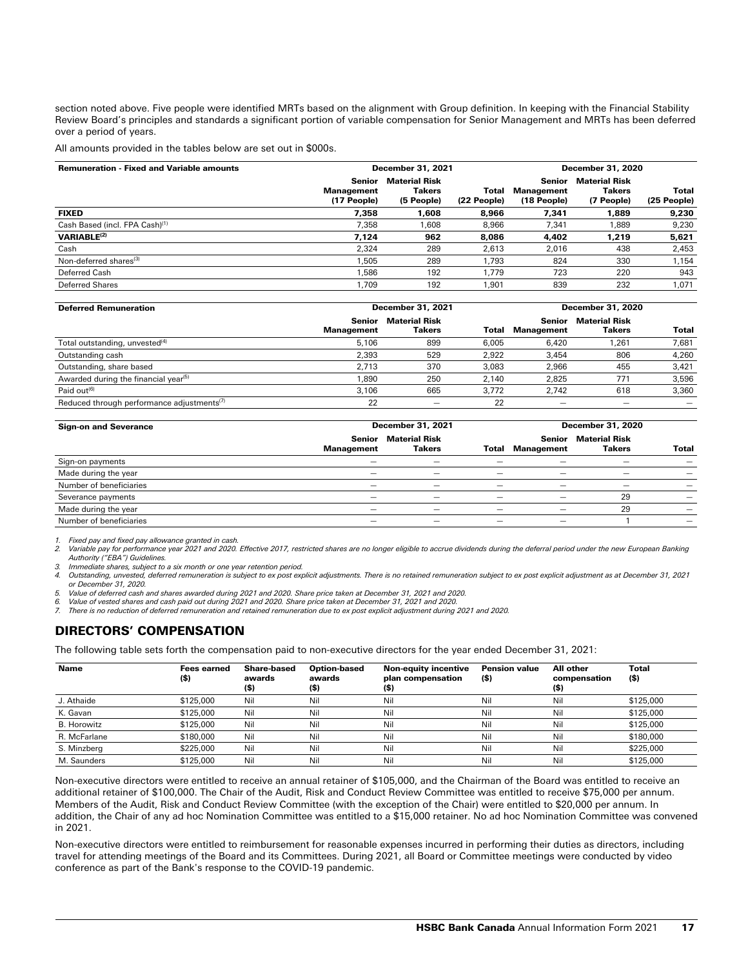section noted above. Five people were identified MRTs based on the alignment with Group definition. In keeping with the Financial Stability Review Board's principles and standards a significant portion of variable compensation for Senior Management and MRTs has been deferred over a period of years.

All amounts provided in the tables below are set out in \$000s.

| <b>Remuneration - Fixed and Variable amounts</b> |                                            | <b>December 31, 2021</b>                            |                      |                                            | <b>December 31, 2020</b>                            |                      |  |
|--------------------------------------------------|--------------------------------------------|-----------------------------------------------------|----------------------|--------------------------------------------|-----------------------------------------------------|----------------------|--|
|                                                  | <b>Senior</b><br>Management<br>(17 People) | <b>Material Risk</b><br><b>Takers</b><br>(5 People) | Total<br>(22 People) | <b>Senior</b><br>Management<br>(18 People) | <b>Material Risk</b><br><b>Takers</b><br>(7 People) | Total<br>(25 People) |  |
| <b>FIXED</b>                                     | 7.358                                      | 1.608                                               | 8.966                | 7.341                                      | 1.889                                               | 9,230                |  |
| Cash Based (incl. FPA Cash) <sup>(1)</sup>       | 7.358                                      | 1.608                                               | 8.966                | 7.341                                      | .889                                                | 9,230                |  |
| <b>VARIABLE(2)</b>                               | 7.124                                      | 962                                                 | 8.086                | 4.402                                      | 1.219                                               | 5,621                |  |
| Cash                                             | 2.324                                      | 289                                                 | 2,613                | 2,016                                      | 438                                                 | 2,453                |  |
| Non-deferred shares <sup>(3)</sup>               | 1.505                                      | 289                                                 | 1.793                | 824                                        | 330                                                 | 1,154                |  |
| Deferred Cash                                    | 1.586                                      | 192                                                 | 1.779                | 723                                        | 220                                                 | 943                  |  |
| Deferred Shares                                  | 1.709                                      | 192                                                 | 1.901                | 839                                        | 232                                                 | 1,071                |  |

| <b>Deferred Remuneration</b>                           |                             | <b>December 31, 2021</b>       |       | December 31, 2020    |                                |       |
|--------------------------------------------------------|-----------------------------|--------------------------------|-------|----------------------|--------------------------------|-------|
|                                                        | Senior<br><b>Management</b> | <b>Material Risk</b><br>Takers | Total | Senior<br>Management | <b>Material Risk</b><br>Takers | Total |
| Total outstanding, unvested <sup>(4)</sup>             | 5.106                       | 899                            | 6.005 | 6,420                | 1,261                          | 7,681 |
| Outstanding cash                                       | 2.393                       | 529                            | 2.922 | 3.454                | 806                            | 4,260 |
| Outstanding, share based                               | 2.713                       | 370                            | 3.083 | 2.966                | 455                            | 3,421 |
| Awarded during the financial year <sup>(5)</sup>       | 1,890                       | 250                            | 2.140 | 2.825                | 771                            | 3,596 |
| Paid out <sup>(6)</sup>                                | 3.106                       | 665                            | 3.772 | 2,742                | 618                            | 3,360 |
| Reduced through performance adjustments <sup>(7)</sup> | 22                          |                                | 22    |                      |                                |       |

| <b>Sign-on and Severance</b> |                      | December 31, 2021                     |                          | <b>December 31, 2020</b> |                                       |                          |  |
|------------------------------|----------------------|---------------------------------------|--------------------------|--------------------------|---------------------------------------|--------------------------|--|
|                              | Senior<br>Management | <b>Material Risk</b><br><b>Takers</b> | Total                    | Senior<br>Management     | <b>Material Risk</b><br><b>Takers</b> | Total                    |  |
| Sign-on payments             | —                    |                                       |                          |                          |                                       | —                        |  |
| Made during the year         | —                    | $\qquad \qquad \longleftarrow$        | $\overline{\phantom{0}}$ | $\overline{\phantom{0}}$ | $\overline{\phantom{0}}$              | —                        |  |
| Number of beneficiaries      |                      |                                       |                          |                          |                                       |                          |  |
| Severance payments           |                      |                                       |                          |                          | 29                                    |                          |  |
| Made during the year         | —                    | $\overline{\phantom{0}}$              |                          | $\overline{\phantom{0}}$ | 29                                    |                          |  |
| Number of beneficiaries      | —                    |                                       | $\overline{\phantom{0}}$ | $\overline{\phantom{0}}$ |                                       | $\overline{\phantom{0}}$ |  |

*1. Fixed pay and fixed pay allowance granted in cash.* 

2. Variable pay for performance year 2021 and 2020. Effective 2017, restricted shares are no longer eligible to accrue dividends during the deferral period under the new European Banking<br>Authority ("EBA") Guidelines.

*3. Immediate shares, subject to a six month or one year retention period.*

*4. Outstanding, unvested, deferred remuneration is subject to ex post explicit adjustments. There is no retained remuneration subject to ex post explicit adjustment as at December 31, 2021 or December 31, 2020.*

*5. Value of deferred cash and shares awarded during 2021 and 2020. Share price taken at December 31, 2021 and 2020.*

*6. Value of vested shares and cash paid out during 2021 and 2020. Share price taken at December 31, 2021 and 2020.*

*7. There is no reduction of deferred remuneration and retained remuneration due to ex post explicit adjustment during 2021 and 2020.*

# DIRECTORS' COMPENSATION

The following table sets forth the compensation paid to non-executive directors for the year ended December 31, 2021:

| Name               | <b>Fees earned</b><br>(\$) | Share-based<br>awards<br>(\$) | <b>Option-based</b><br>awards<br>(\$) | <b>Non-equity incentive</b><br>plan compensation<br>(\$) | <b>Pension value</b><br>(\$) | All other<br>compensation<br>(\$) | Total<br>(\$) |
|--------------------|----------------------------|-------------------------------|---------------------------------------|----------------------------------------------------------|------------------------------|-----------------------------------|---------------|
| J. Athaide         | \$125,000                  | Nil                           | Nil                                   | Nil                                                      | Nil                          | Nil                               | \$125,000     |
| K. Gavan           | \$125,000                  | Nil                           | Nil                                   | Nil                                                      | Nil                          | Nil                               | \$125,000     |
| <b>B.</b> Horowitz | \$125,000                  | Nil                           | Nil                                   | Nil                                                      | Nil                          | Nil                               | \$125,000     |
| R. McFarlane       | \$180,000                  | Nil                           | Nil                                   | Nil                                                      | Nil                          | Nil                               | \$180,000     |
| S. Minzberg        | \$225,000                  | Nil                           | Nil                                   | Nil                                                      | Nil                          | Nil                               | \$225,000     |
| M. Saunders        | \$125,000                  | Nil                           | Nil                                   | Nil                                                      | Nil                          | Nil                               | \$125,000     |

Non-executive directors were entitled to receive an annual retainer of \$105,000, and the Chairman of the Board was entitled to receive an additional retainer of \$100,000. The Chair of the Audit, Risk and Conduct Review Committee was entitled to receive \$75,000 per annum. Members of the Audit, Risk and Conduct Review Committee (with the exception of the Chair) were entitled to \$20,000 per annum. In addition, the Chair of any ad hoc Nomination Committee was entitled to a \$15,000 retainer. No ad hoc Nomination Committee was convened in 2021.

Non-executive directors were entitled to reimbursement for reasonable expenses incurred in performing their duties as directors, including travel for attending meetings of the Board and its Committees. During 2021, all Board or Committee meetings were conducted by video conference as part of the Bank's response to the COVID-19 pandemic.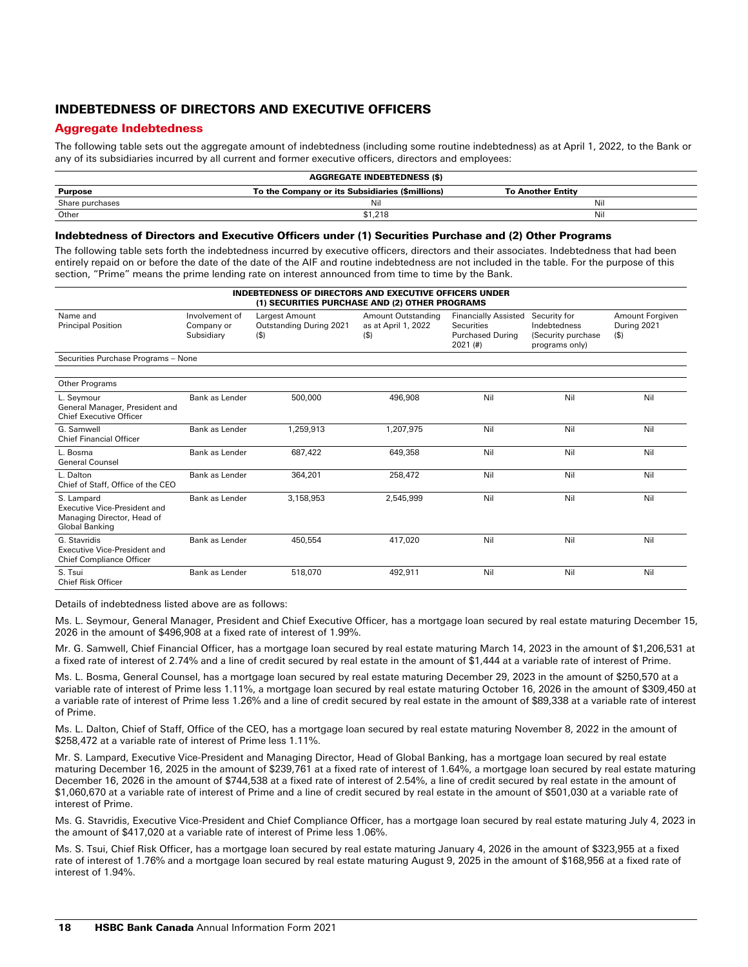# INDEBTEDNESS OF DIRECTORS AND EXECUTIVE OFFICERS

# Aggregate Indebtedness

The following table sets out the aggregate amount of indebtedness (including some routine indebtedness) as at April 1, 2022, to the Bank or any of its subsidiaries incurred by all current and former executive officers, directors and employees:

| <b>AGGREGATE INDEBTEDNESS (\$)</b> |                                                 |                          |  |  |  |  |
|------------------------------------|-------------------------------------------------|--------------------------|--|--|--|--|
| <b>Purpose</b>                     | To the Company or its Subsidiaries (\$millions) | <b>To Another Entity</b> |  |  |  |  |
| Share purchases                    | Nil                                             | Nil                      |  |  |  |  |
| Other                              | \$1,218                                         | Nil                      |  |  |  |  |

## Indebtedness of Directors and Executive Officers under (1) Securities Purchase and (2) Other Programs

The following table sets forth the indebtedness incurred by executive officers, directors and their associates. Indebtedness that had been entirely repaid on or before the date of the date of the AIF and routine indebtedness are not included in the table. For the purpose of this section, "Prime" means the prime lending rate on interest announced from time to time by the Bank.

| <b>INDEBTEDNESS OF DIRECTORS AND EXECUTIVE OFFICERS UNDER</b><br>(1) SECURITIES PURCHASE AND (2) OTHER PROGRAMS |                                            |                                                      |                                                           |                                                                                           |                                                                       |                                           |  |
|-----------------------------------------------------------------------------------------------------------------|--------------------------------------------|------------------------------------------------------|-----------------------------------------------------------|-------------------------------------------------------------------------------------------|-----------------------------------------------------------------------|-------------------------------------------|--|
| Name and<br><b>Principal Position</b>                                                                           | Involvement of<br>Company or<br>Subsidiary | Largest Amount<br>Outstanding During 2021<br>$($ \$) | <b>Amount Outstanding</b><br>as at April 1, 2022<br>( \$) | <b>Financially Assisted</b><br><b>Securities</b><br><b>Purchased During</b><br>$2021$ (#) | Security for<br>Indebtedness<br>(Security purchase)<br>programs only) | Amount Forgiven<br>During 2021<br>$($ \$) |  |
| Securities Purchase Programs - None                                                                             |                                            |                                                      |                                                           |                                                                                           |                                                                       |                                           |  |
| Other Programs                                                                                                  |                                            |                                                      |                                                           |                                                                                           |                                                                       |                                           |  |
| L. Sevmour<br>General Manager, President and<br><b>Chief Executive Officer</b>                                  | Bank as Lender                             | 500,000                                              | 496,908                                                   | Nil                                                                                       | Nil                                                                   | Nil                                       |  |
| G. Samwell<br><b>Chief Financial Officer</b>                                                                    | Bank as Lender                             | 1,259,913                                            | 1,207,975                                                 | Nil                                                                                       | Nil                                                                   | Nil                                       |  |
| L. Bosma<br><b>General Counsel</b>                                                                              | Bank as Lender                             | 687.422                                              | 649.358                                                   | Nil                                                                                       | Nil                                                                   | Nil                                       |  |
| L. Dalton<br>Chief of Staff, Office of the CEO                                                                  | Bank as Lender                             | 364.201                                              | 258,472                                                   | Nil                                                                                       | Nil                                                                   | Nil                                       |  |
| S. Lampard<br>Executive Vice-President and<br>Managing Director, Head of<br><b>Global Banking</b>               | Bank as Lender                             | 3,158,953                                            | 2,545,999                                                 | Nil                                                                                       | Nil                                                                   | Nil                                       |  |
| G. Stavridis<br>Executive Vice-President and<br><b>Chief Compliance Officer</b>                                 | Bank as Lender                             | 450.554                                              | 417,020                                                   | Nil                                                                                       | Nil                                                                   | Nil                                       |  |
| S. Tsui<br><b>Chief Risk Officer</b>                                                                            | Bank as Lender                             | 518.070                                              | 492,911                                                   | Nil                                                                                       | Nil                                                                   | Nil                                       |  |

Details of indebtedness listed above are as follows:

Ms. L. Seymour, General Manager, President and Chief Executive Officer, has a mortgage loan secured by real estate maturing December 15, 2026 in the amount of \$496,908 at a fixed rate of interest of 1.99%.

Mr. G. Samwell, Chief Financial Officer, has a mortgage loan secured by real estate maturing March 14, 2023 in the amount of \$1,206,531 at a fixed rate of interest of 2.74% and a line of credit secured by real estate in the amount of \$1,444 at a variable rate of interest of Prime.

Ms. L. Bosma, General Counsel, has a mortgage loan secured by real estate maturing December 29, 2023 in the amount of \$250,570 at a variable rate of interest of Prime less 1.11%, a mortgage loan secured by real estate maturing October 16, 2026 in the amount of \$309,450 at a variable rate of interest of Prime less 1.26% and a line of credit secured by real estate in the amount of \$89,338 at a variable rate of interest of Prime.

Ms. L. Dalton, Chief of Staff, Office of the CEO, has a mortgage loan secured by real estate maturing November 8, 2022 in the amount of \$258,472 at a variable rate of interest of Prime less 1.11%.

Mr. S. Lampard, Executive Vice-President and Managing Director, Head of Global Banking, has a mortgage loan secured by real estate maturing December 16, 2025 in the amount of \$239,761 at a fixed rate of interest of 1.64%, a mortgage loan secured by real estate maturing December 16, 2026 in the amount of \$744,538 at a fixed rate of interest of 2.54%, a line of credit secured by real estate in the amount of \$1,060,670 at a variable rate of interest of Prime and a line of credit secured by real estate in the amount of \$501,030 at a variable rate of interest of Prime.

Ms. G. Stavridis, Executive Vice-President and Chief Compliance Officer, has a mortgage loan secured by real estate maturing July 4, 2023 in the amount of \$417,020 at a variable rate of interest of Prime less 1.06%.

Ms. S. Tsui, Chief Risk Officer, has a mortgage loan secured by real estate maturing January 4, 2026 in the amount of \$323,955 at a fixed rate of interest of 1.76% and a mortgage loan secured by real estate maturing August 9, 2025 in the amount of \$168,956 at a fixed rate of interest of 1.94%.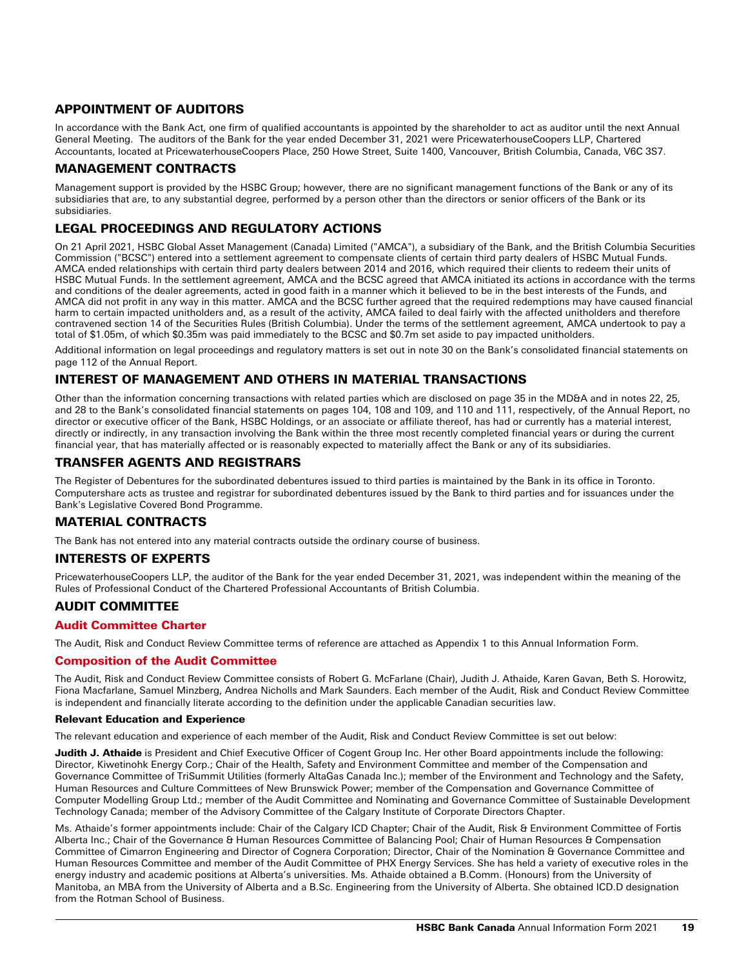# APPOINTMENT OF AUDITORS

In accordance with the Bank Act, one firm of qualified accountants is appointed by the shareholder to act as auditor until the next Annual General Meeting. The auditors of the Bank for the year ended December 31, 2021 were PricewaterhouseCoopers LLP, Chartered Accountants, located at PricewaterhouseCoopers Place, 250 Howe Street, Suite 1400, Vancouver, British Columbia, Canada, V6C 3S7.

# MANAGEMENT CONTRACTS

Management support is provided by the HSBC Group; however, there are no significant management functions of the Bank or any of its subsidiaries that are, to any substantial degree, performed by a person other than the directors or senior officers of the Bank or its subsidiaries.

# LEGAL PROCEEDINGS AND REGULATORY ACTIONS

On 21 April 2021, HSBC Global Asset Management (Canada) Limited ("AMCA"), a subsidiary of the Bank, and the British Columbia Securities Commission ("BCSC") entered into a settlement agreement to compensate clients of certain third party dealers of HSBC Mutual Funds. AMCA ended relationships with certain third party dealers between 2014 and 2016, which required their clients to redeem their units of HSBC Mutual Funds. In the settlement agreement, AMCA and the BCSC agreed that AMCA initiated its actions in accordance with the terms and conditions of the dealer agreements, acted in good faith in a manner which it believed to be in the best interests of the Funds, and AMCA did not profit in any way in this matter. AMCA and the BCSC further agreed that the required redemptions may have caused financial harm to certain impacted unitholders and, as a result of the activity, AMCA failed to deal fairly with the affected unitholders and therefore contravened section 14 of the Securities Rules (British Columbia). Under the terms of the settlement agreement, AMCA undertook to pay a total of \$1.05m, of which \$0.35m was paid immediately to the BCSC and \$0.7m set aside to pay impacted unitholders.

Additional information on legal proceedings and regulatory matters is set out in note 30 on the Bank's consolidated financial statements on page 112 of the Annual Report.

# INTEREST OF MANAGEMENT AND OTHERS IN MATERIAL TRANSACTIONS

Other than the information concerning transactions with related parties which are disclosed on page 35 in the MD&A and in notes 22, 25, and 28 to the Bank's consolidated financial statements on pages 104, 108 and 109, and 110 and 111, respectively, of the Annual Report, no director or executive officer of the Bank, HSBC Holdings, or an associate or affiliate thereof, has had or currently has a material interest, directly or indirectly, in any transaction involving the Bank within the three most recently completed financial years or during the current financial year, that has materially affected or is reasonably expected to materially affect the Bank or any of its subsidiaries.

# TRANSFER AGENTS AND REGISTRARS

The Register of Debentures for the subordinated debentures issued to third parties is maintained by the Bank in its office in Toronto. Computershare acts as trustee and registrar for subordinated debentures issued by the Bank to third parties and for issuances under the Bank's Legislative Covered Bond Programme.

# MATERIAL CONTRACTS

The Bank has not entered into any material contracts outside the ordinary course of business.

# INTERESTS OF EXPERTS

PricewaterhouseCoopers LLP, the auditor of the Bank for the year ended December 31, 2021, was independent within the meaning of the Rules of Professional Conduct of the Chartered Professional Accountants of British Columbia.

# AUDIT COMMITTEE

# Audit Committee Charter

The Audit, Risk and Conduct Review Committee terms of reference are attached as Appendix 1 to this Annual Information Form.

# Composition of the Audit Committee

The Audit, Risk and Conduct Review Committee consists of Robert G. McFarlane (Chair), Judith J. Athaide, Karen Gavan, Beth S. Horowitz, Fiona Macfarlane, Samuel Minzberg, Andrea Nicholls and Mark Saunders. Each member of the Audit, Risk and Conduct Review Committee is independent and financially literate according to the definition under the applicable Canadian securities law.

## Relevant Education and Experience

The relevant education and experience of each member of the Audit, Risk and Conduct Review Committee is set out below:

Judith J. Athaide is President and Chief Executive Officer of Cogent Group Inc. Her other Board appointments include the following: Director, Kiwetinohk Energy Corp.; Chair of the Health, Safety and Environment Committee and member of the Compensation and Governance Committee of TriSummit Utilities (formerly AltaGas Canada Inc.); member of the Environment and Technology and the Safety, Human Resources and Culture Committees of New Brunswick Power; member of the Compensation and Governance Committee of Computer Modelling Group Ltd.; member of the Audit Committee and Nominating and Governance Committee of Sustainable Development Technology Canada; member of the Advisory Committee of the Calgary Institute of Corporate Directors Chapter.

Ms. Athaide's former appointments include: Chair of the Calgary ICD Chapter; Chair of the Audit, Risk & Environment Committee of Fortis Alberta Inc.; Chair of the Governance & Human Resources Committee of Balancing Pool; Chair of Human Resources & Compensation Committee of Cimarron Engineering and Director of Cognera Corporation; Director, Chair of the Nomination & Governance Committee and Human Resources Committee and member of the Audit Committee of PHX Energy Services. She has held a variety of executive roles in the energy industry and academic positions at Alberta's universities. Ms. Athaide obtained a B.Comm. (Honours) from the University of Manitoba, an MBA from the University of Alberta and a B.Sc. Engineering from the University of Alberta. She obtained ICD.D designation from the Rotman School of Business.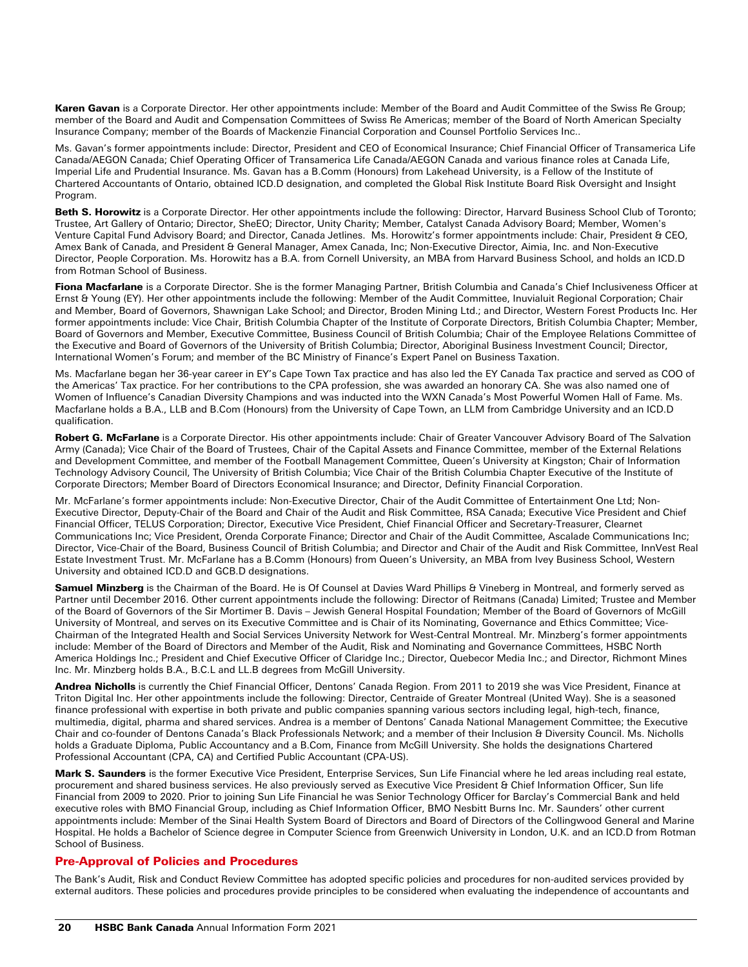Karen Gavan is a Corporate Director. Her other appointments include: Member of the Board and Audit Committee of the Swiss Re Group; member of the Board and Audit and Compensation Committees of Swiss Re Americas; member of the Board of North American Specialty Insurance Company; member of the Boards of Mackenzie Financial Corporation and Counsel Portfolio Services Inc..

Ms. Gavan's former appointments include: Director, President and CEO of Economical Insurance; Chief Financial Officer of Transamerica Life Canada/AEGON Canada; Chief Operating Officer of Transamerica Life Canada/AEGON Canada and various finance roles at Canada Life, Imperial Life and Prudential Insurance. Ms. Gavan has a B.Comm (Honours) from Lakehead University, is a Fellow of the Institute of Chartered Accountants of Ontario, obtained ICD.D designation, and completed the Global Risk Institute Board Risk Oversight and Insight Program.

Beth S. Horowitz is a Corporate Director. Her other appointments include the following: Director, Harvard Business School Club of Toronto; Trustee, Art Gallery of Ontario; Director, SheEO; Director, Unity Charity; Member, Catalyst Canada Advisory Board; Member, Women's Venture Capital Fund Advisory Board; and Director, Canada Jetlines. Ms. Horowitz's former appointments include: Chair, President & CEO, Amex Bank of Canada, and President & General Manager, Amex Canada, Inc; Non-Executive Director, Aimia, Inc. and Non-Executive Director, People Corporation. Ms. Horowitz has a B.A. from Cornell University, an MBA from Harvard Business School, and holds an ICD.D from Rotman School of Business.

Fiona Macfarlane is a Corporate Director. She is the former Managing Partner, British Columbia and Canada's Chief Inclusiveness Officer at Ernst & Young (EY). Her other appointments include the following: Member of the Audit Committee, Inuvialuit Regional Corporation; Chair and Member, Board of Governors, Shawnigan Lake School; and Director, Broden Mining Ltd.; and Director, Western Forest Products Inc. Her former appointments include: Vice Chair, British Columbia Chapter of the Institute of Corporate Directors, British Columbia Chapter; Member, Board of Governors and Member, Executive Committee, Business Council of British Columbia; Chair of the Employee Relations Committee of the Executive and Board of Governors of the University of British Columbia; Director, Aboriginal Business Investment Council; Director, International Women's Forum; and member of the BC Ministry of Finance's Expert Panel on Business Taxation.

Ms. Macfarlane began her 36-year career in EY's Cape Town Tax practice and has also led the EY Canada Tax practice and served as COO of the Americas' Tax practice. For her contributions to the CPA profession, she was awarded an honorary CA. She was also named one of Women of Influence's Canadian Diversity Champions and was inducted into the WXN Canada's Most Powerful Women Hall of Fame. Ms. Macfarlane holds a B.A., LLB and B.Com (Honours) from the University of Cape Town, an LLM from Cambridge University and an ICD.D qualification.

Robert G. McFarlane is a Corporate Director. His other appointments include: Chair of Greater Vancouver Advisory Board of The Salvation Army (Canada); Vice Chair of the Board of Trustees, Chair of the Capital Assets and Finance Committee, member of the External Relations and Development Committee, and member of the Football Management Committee, Queen's University at Kingston; Chair of Information Technology Advisory Council, The University of British Columbia; Vice Chair of the British Columbia Chapter Executive of the Institute of Corporate Directors; Member Board of Directors Economical Insurance; and Director, Definity Financial Corporation.

Mr. McFarlane's former appointments include: Non-Executive Director, Chair of the Audit Committee of Entertainment One Ltd; Non-Executive Director, Deputy-Chair of the Board and Chair of the Audit and Risk Committee, RSA Canada; Executive Vice President and Chief Financial Officer, TELUS Corporation; Director, Executive Vice President, Chief Financial Officer and Secretary-Treasurer, Clearnet Communications Inc; Vice President, Orenda Corporate Finance; Director and Chair of the Audit Committee, Ascalade Communications Inc; Director, Vice-Chair of the Board, Business Council of British Columbia; and Director and Chair of the Audit and Risk Committee, InnVest Real Estate Investment Trust. Mr. McFarlane has a B.Comm (Honours) from Queen's University, an MBA from Ivey Business School, Western University and obtained ICD.D and GCB.D designations.

Samuel Minzberg is the Chairman of the Board. He is Of Counsel at Davies Ward Phillips & Vineberg in Montreal, and formerly served as Partner until December 2016. Other current appointments include the following: Director of Reitmans (Canada) Limited; Trustee and Member of the Board of Governors of the Sir Mortimer B. Davis – Jewish General Hospital Foundation; Member of the Board of Governors of McGill University of Montreal, and serves on its Executive Committee and is Chair of its Nominating, Governance and Ethics Committee; Vice-Chairman of the Integrated Health and Social Services University Network for West-Central Montreal. Mr. Minzberg's former appointments include: Member of the Board of Directors and Member of the Audit, Risk and Nominating and Governance Committees, HSBC North America Holdings Inc.; President and Chief Executive Officer of Claridge Inc.; Director, Quebecor Media Inc.; and Director, Richmont Mines Inc. Mr. Minzberg holds B.A., B.C.L and LL.B degrees from McGill University.

Andrea Nicholls is currently the Chief Financial Officer, Dentons' Canada Region. From 2011 to 2019 she was Vice President, Finance at Triton Digital Inc. Her other appointments include the following: Director, Centraide of Greater Montreal (United Way). She is a seasoned finance professional with expertise in both private and public companies spanning various sectors including legal, high-tech, finance, multimedia, digital, pharma and shared services. Andrea is a member of Dentons' Canada National Management Committee; the Executive Chair and co-founder of Dentons Canada's Black Professionals Network; and a member of their Inclusion & Diversity Council. Ms. Nicholls holds a Graduate Diploma, Public Accountancy and a B.Com, Finance from McGill University. She holds the designations Chartered Professional Accountant (CPA, CA) and Certified Public Accountant (CPA-US).

Mark S. Saunders is the former Executive Vice President, Enterprise Services, Sun Life Financial where he led areas including real estate, procurement and shared business services. He also previously served as Executive Vice President & Chief Information Officer, Sun life Financial from 2009 to 2020. Prior to joining Sun Life Financial he was Senior Technology Officer for Barclay's Commercial Bank and held executive roles with BMO Financial Group, including as Chief Information Officer, BMO Nesbitt Burns Inc. Mr. Saunders' other current appointments include: Member of the Sinai Health System Board of Directors and Board of Directors of the Collingwood General and Marine Hospital. He holds a Bachelor of Science degree in Computer Science from Greenwich University in London, U.K. and an ICD.D from Rotman School of Business.

# Pre-Approval of Policies and Procedures

The Bank's Audit, Risk and Conduct Review Committee has adopted specific policies and procedures for non-audited services provided by external auditors. These policies and procedures provide principles to be considered when evaluating the independence of accountants and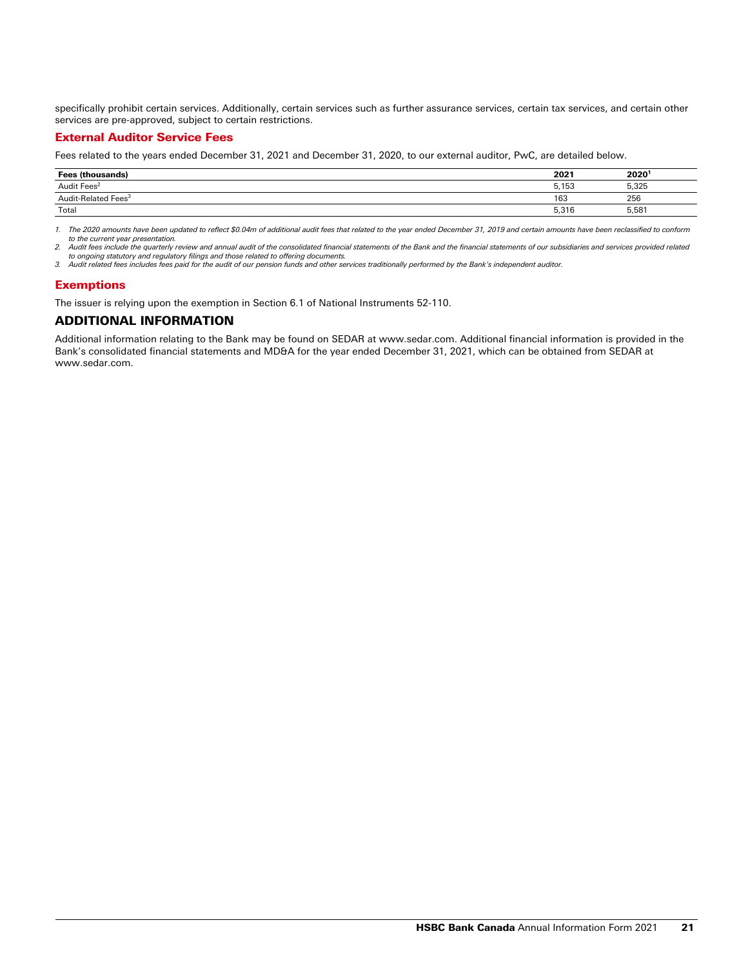specifically prohibit certain services. Additionally, certain services such as further assurance services, certain tax services, and certain other services are pre-approved, subject to certain restrictions.

## External Auditor Service Fees

Fees related to the years ended December 31, 2021 and December 31, 2020, to our external auditor, PwC, are detailed below.

| (thousands)<br><b>Fees</b>             | 2021                          | 2020  |
|----------------------------------------|-------------------------------|-------|
| Audit Fees <sup>2</sup>                | 10 <sup>2</sup><br>ხ,1ხა      | 5,325 |
| Fees <sup>-</sup><br>-Related<br>Audit | 163                           | 256   |
| Total                                  | $F^{\prime}$ 0.1 $C$<br>5.316 | 5,581 |
|                                        |                               |       |

*1. The 2020 amounts have been updated to reflect \$0.04m of additional audit fees that related to the year ended December 31, 2019 and certain amounts have been reclassified to conform to the current year presentation.*

*2. Audit fees include the quarterly review and annual audit of the consolidated financial statements of the Bank and the financial statements of our subsidiaries and services provided related*  to ongoing statutory and regulatory filings and those related to offering documents.<br>3. Audit related fees includes fees paid for the audit of our pension funds and other services traditionally performed by the Bank's inde

# **Exemptions**

The issuer is relying upon the exemption in Section 6.1 of National Instruments 52-110.

# ADDITIONAL INFORMATION

Additional information relating to the Bank may be found on SEDAR at www.sedar.com. Additional financial information is provided in the Bank's consolidated financial statements and MD&A for the year ended December 31, 2021, which can be obtained from SEDAR at www.sedar.com.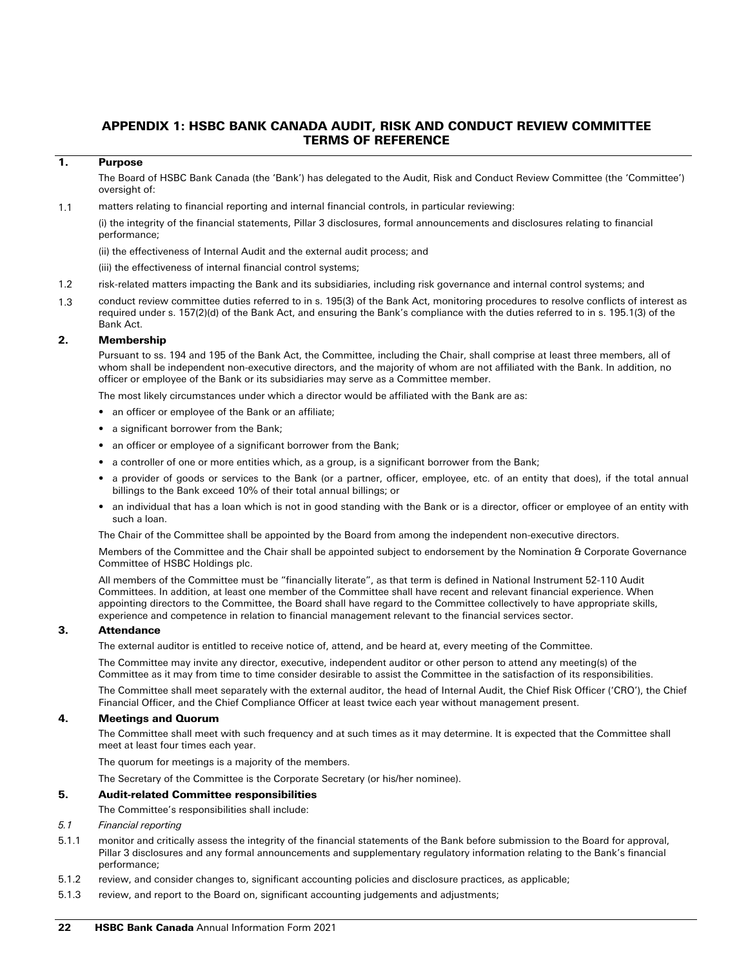# APPENDIX 1: HSBC BANK CANADA AUDIT, RISK AND CONDUCT REVIEW COMMITTEE TERMS OF REFERENCE

# 1. Purpose

The Board of HSBC Bank Canada (the 'Bank') has delegated to the Audit, Risk and Conduct Review Committee (the 'Committee') oversight of:

1.1 matters relating to financial reporting and internal financial controls, in particular reviewing:

(i) the integrity of the financial statements, Pillar 3 disclosures, formal announcements and disclosures relating to financial performance;

(ii) the effectiveness of Internal Audit and the external audit process; and

(iii) the effectiveness of internal financial control systems;

- 1.2 risk-related matters impacting the Bank and its subsidiaries, including risk governance and internal control systems; and
- 1.3 conduct review committee duties referred to in s. 195(3) of the Bank Act, monitoring procedures to resolve conflicts of interest as required under s. 157(2)(d) of the Bank Act, and ensuring the Bank's compliance with the duties referred to in s. 195.1(3) of the Bank Act.

## 2. Membership

Pursuant to ss. 194 and 195 of the Bank Act, the Committee, including the Chair, shall comprise at least three members, all of whom shall be independent non-executive directors, and the majority of whom are not affiliated with the Bank. In addition, no officer or employee of the Bank or its subsidiaries may serve as a Committee member.

The most likely circumstances under which a director would be affiliated with the Bank are as:

- an officer or employee of the Bank or an affiliate;
- a significant borrower from the Bank;
- an officer or employee of a significant borrower from the Bank;
- a controller of one or more entities which, as a group, is a significant borrower from the Bank;
- a provider of goods or services to the Bank (or a partner, officer, employee, etc. of an entity that does), if the total annual billings to the Bank exceed 10% of their total annual billings; or
- an individual that has a loan which is not in good standing with the Bank or is a director, officer or employee of an entity with such a loan.

The Chair of the Committee shall be appointed by the Board from among the independent non-executive directors.

Members of the Committee and the Chair shall be appointed subject to endorsement by the Nomination & Corporate Governance Committee of HSBC Holdings plc.

All members of the Committee must be "financially literate", as that term is defined in National Instrument 52-110 Audit Committees. In addition, at least one member of the Committee shall have recent and relevant financial experience. When appointing directors to the Committee, the Board shall have regard to the Committee collectively to have appropriate skills, experience and competence in relation to financial management relevant to the financial services sector.

## 3. Attendance

The external auditor is entitled to receive notice of, attend, and be heard at, every meeting of the Committee.

The Committee may invite any director, executive, independent auditor or other person to attend any meeting(s) of the Committee as it may from time to time consider desirable to assist the Committee in the satisfaction of its responsibilities.

The Committee shall meet separately with the external auditor, the head of Internal Audit, the Chief Risk Officer ('CRO'), the Chief Financial Officer, and the Chief Compliance Officer at least twice each year without management present.

# 4. Meetings and Quorum

The Committee shall meet with such frequency and at such times as it may determine. It is expected that the Committee shall meet at least four times each year.

The quorum for meetings is a majority of the members.

The Secretary of the Committee is the Corporate Secretary (or his/her nominee).

## 5. Audit-related Committee responsibilities

The Committee's responsibilities shall include:

# *5.1 Financial reporting*

- 5.1.1 monitor and critically assess the integrity of the financial statements of the Bank before submission to the Board for approval, Pillar 3 disclosures and any formal announcements and supplementary regulatory information relating to the Bank's financial performance;
- 5.1.2 review, and consider changes to, significant accounting policies and disclosure practices, as applicable;
- 5.1.3 review, and report to the Board on, significant accounting judgements and adjustments;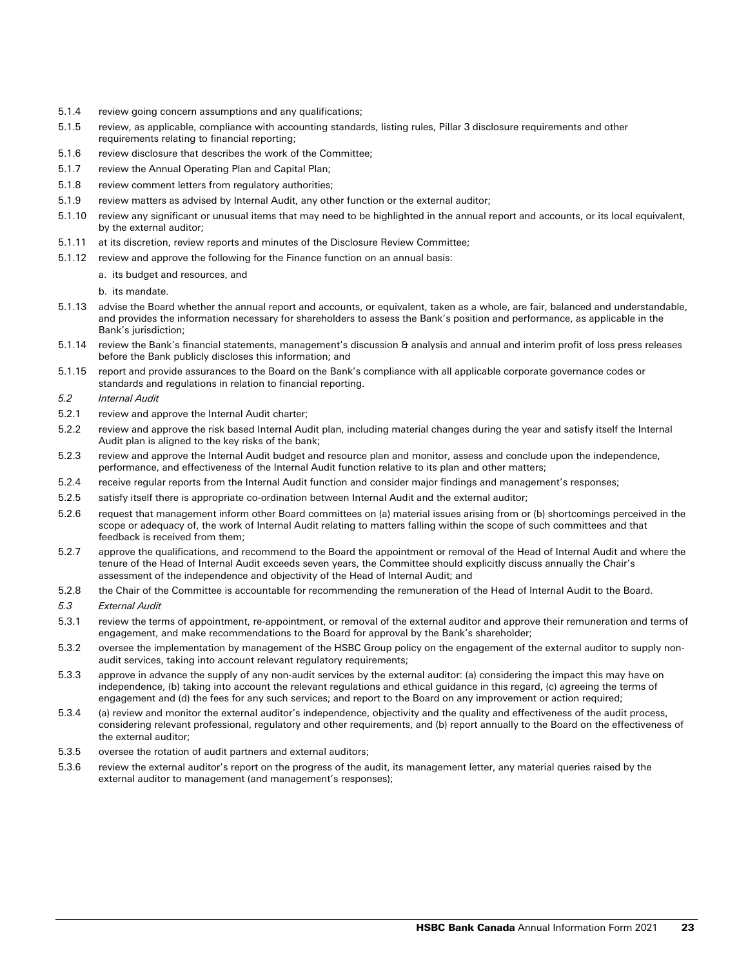- 5.1.4 review going concern assumptions and any qualifications;
- 5.1.5 review, as applicable, compliance with accounting standards, listing rules, Pillar 3 disclosure requirements and other requirements relating to financial reporting;
- 5.1.6 review disclosure that describes the work of the Committee;
- 5.1.7 review the Annual Operating Plan and Capital Plan;
- 5.1.8 review comment letters from regulatory authorities;
- 5.1.9 review matters as advised by Internal Audit, any other function or the external auditor;
- 5.1.10 review any significant or unusual items that may need to be highlighted in the annual report and accounts, or its local equivalent, by the external auditor;
- 5.1.11 at its discretion, review reports and minutes of the Disclosure Review Committee;
- 5.1.12 review and approve the following for the Finance function on an annual basis:
	- a. its budget and resources, and
	- b. its mandate.
- 5.1.13 advise the Board whether the annual report and accounts, or equivalent, taken as a whole, are fair, balanced and understandable, and provides the information necessary for shareholders to assess the Bank's position and performance, as applicable in the Bank's jurisdiction;
- 5.1.14 review the Bank's financial statements, management's discussion & analysis and annual and interim profit of loss press releases before the Bank publicly discloses this information; and
- 5.1.15 report and provide assurances to the Board on the Bank's compliance with all applicable corporate governance codes or standards and regulations in relation to financial reporting.
- *5.2 Internal Audit*
- 5.2.1 review and approve the Internal Audit charter;
- 5.2.2 review and approve the risk based Internal Audit plan, including material changes during the year and satisfy itself the Internal Audit plan is aligned to the key risks of the bank;
- 5.2.3 review and approve the Internal Audit budget and resource plan and monitor, assess and conclude upon the independence, performance, and effectiveness of the Internal Audit function relative to its plan and other matters;
- 5.2.4 receive regular reports from the Internal Audit function and consider major findings and management's responses;
- 5.2.5 satisfy itself there is appropriate co-ordination between Internal Audit and the external auditor;
- 5.2.6 request that management inform other Board committees on (a) material issues arising from or (b) shortcomings perceived in the scope or adequacy of, the work of Internal Audit relating to matters falling within the scope of such committees and that feedback is received from them;
- 5.2.7 approve the qualifications, and recommend to the Board the appointment or removal of the Head of Internal Audit and where the tenure of the Head of Internal Audit exceeds seven years, the Committee should explicitly discuss annually the Chair's assessment of the independence and objectivity of the Head of Internal Audit; and
- 5.2.8 the Chair of the Committee is accountable for recommending the remuneration of the Head of Internal Audit to the Board.
- *5.3 External Audit*
- 5.3.1 review the terms of appointment, re-appointment, or removal of the external auditor and approve their remuneration and terms of engagement, and make recommendations to the Board for approval by the Bank's shareholder;
- 5.3.2 oversee the implementation by management of the HSBC Group policy on the engagement of the external auditor to supply nonaudit services, taking into account relevant regulatory requirements;
- 5.3.3 approve in advance the supply of any non-audit services by the external auditor: (a) considering the impact this may have on independence, (b) taking into account the relevant regulations and ethical guidance in this regard, (c) agreeing the terms of engagement and (d) the fees for any such services; and report to the Board on any improvement or action required;
- 5.3.4 (a) review and monitor the external auditor's independence, objectivity and the quality and effectiveness of the audit process, considering relevant professional, regulatory and other requirements, and (b) report annually to the Board on the effectiveness of the external auditor;
- 5.3.5 oversee the rotation of audit partners and external auditors;
- 5.3.6 review the external auditor's report on the progress of the audit, its management letter, any material queries raised by the external auditor to management (and management's responses);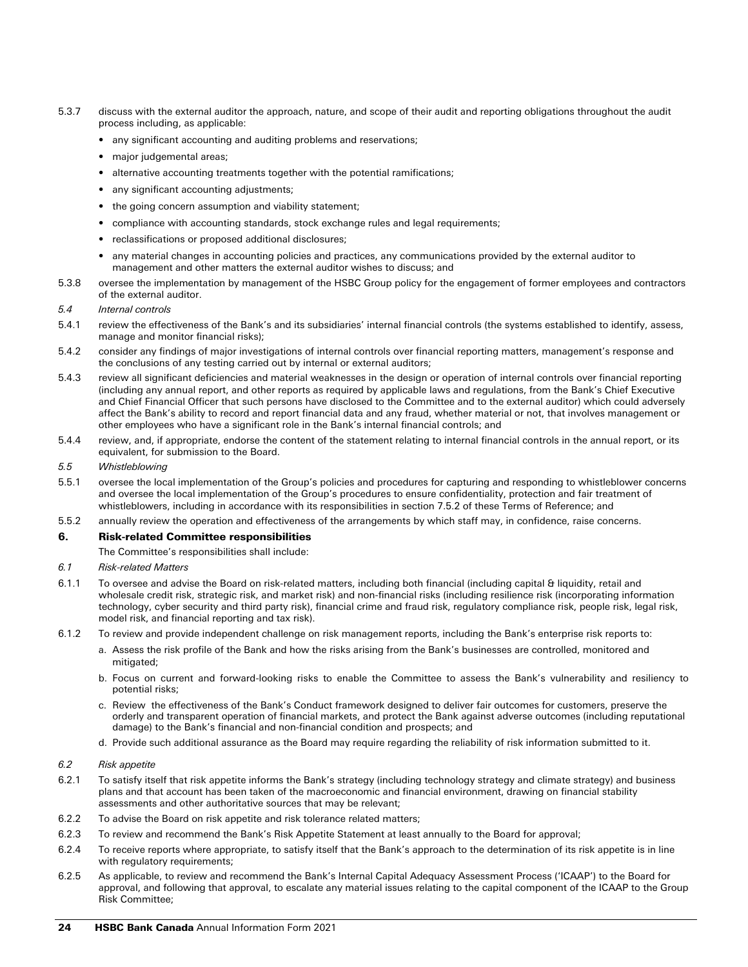- 5.3.7 discuss with the external auditor the approach, nature, and scope of their audit and reporting obligations throughout the audit process including, as applicable:
	- any significant accounting and auditing problems and reservations;
	- major judgemental areas;
	- alternative accounting treatments together with the potential ramifications;
	- any significant accounting adjustments;
	- the going concern assumption and viability statement;
	- compliance with accounting standards, stock exchange rules and legal requirements;
	- reclassifications or proposed additional disclosures;
	- any material changes in accounting policies and practices, any communications provided by the external auditor to management and other matters the external auditor wishes to discuss; and
- 5.3.8 oversee the implementation by management of the HSBC Group policy for the engagement of former employees and contractors of the external auditor.

## *5.4 Internal controls*

- 5.4.1 review the effectiveness of the Bank's and its subsidiaries' internal financial controls (the systems established to identify, assess, manage and monitor financial risks);
- 5.4.2 consider any findings of major investigations of internal controls over financial reporting matters, management's response and the conclusions of any testing carried out by internal or external auditors;
- 5.4.3 review all significant deficiencies and material weaknesses in the design or operation of internal controls over financial reporting (including any annual report, and other reports as required by applicable laws and regulations, from the Bank's Chief Executive and Chief Financial Officer that such persons have disclosed to the Committee and to the external auditor) which could adversely affect the Bank's ability to record and report financial data and any fraud, whether material or not, that involves management or other employees who have a significant role in the Bank's internal financial controls; and
- 5.4.4 review, and, if appropriate, endorse the content of the statement relating to internal financial controls in the annual report, or its equivalent, for submission to the Board.

#### *5.5 Whistleblowing*

- 5.5.1 oversee the local implementation of the Group's policies and procedures for capturing and responding to whistleblower concerns and oversee the local implementation of the Group's procedures to ensure confidentiality, protection and fair treatment of whistleblowers, including in accordance with its responsibilities in section 7.5.2 of these Terms of Reference; and
- 5.5.2 annually review the operation and effectiveness of the arrangements by which staff may, in confidence, raise concerns.

#### 6. Risk-related Committee responsibilities

The Committee's responsibilities shall include:

- *6.1 Risk-related Matters*
- 6.1.1 To oversee and advise the Board on risk-related matters, including both financial (including capital & liquidity, retail and wholesale credit risk, strategic risk, and market risk) and non-financial risks (including resilience risk (incorporating information technology, cyber security and third party risk), financial crime and fraud risk, regulatory compliance risk, people risk, legal risk, model risk, and financial reporting and tax risk).
- 6.1.2 To review and provide independent challenge on risk management reports, including the Bank's enterprise risk reports to:
	- a. Assess the risk profile of the Bank and how the risks arising from the Bank's businesses are controlled, monitored and mitigated:
	- b. Focus on current and forward-looking risks to enable the Committee to assess the Bank's vulnerability and resiliency to potential risks;
	- c. Review the effectiveness of the Bank's Conduct framework designed to deliver fair outcomes for customers, preserve the orderly and transparent operation of financial markets, and protect the Bank against adverse outcomes (including reputational damage) to the Bank's financial and non-financial condition and prospects; and
	- d. Provide such additional assurance as the Board may require regarding the reliability of risk information submitted to it.

## *6.2 Risk appetite*

- 6.2.1 To satisfy itself that risk appetite informs the Bank's strategy (including technology strategy and climate strategy) and business plans and that account has been taken of the macroeconomic and financial environment, drawing on financial stability assessments and other authoritative sources that may be relevant;
- 6.2.2 To advise the Board on risk appetite and risk tolerance related matters;
- 6.2.3 To review and recommend the Bank's Risk Appetite Statement at least annually to the Board for approval;
- 6.2.4 To receive reports where appropriate, to satisfy itself that the Bank's approach to the determination of its risk appetite is in line with regulatory requirements;
- 6.2.5 As applicable, to review and recommend the Bank's Internal Capital Adequacy Assessment Process ('ICAAP') to the Board for approval, and following that approval, to escalate any material issues relating to the capital component of the ICAAP to the Group Risk Committee;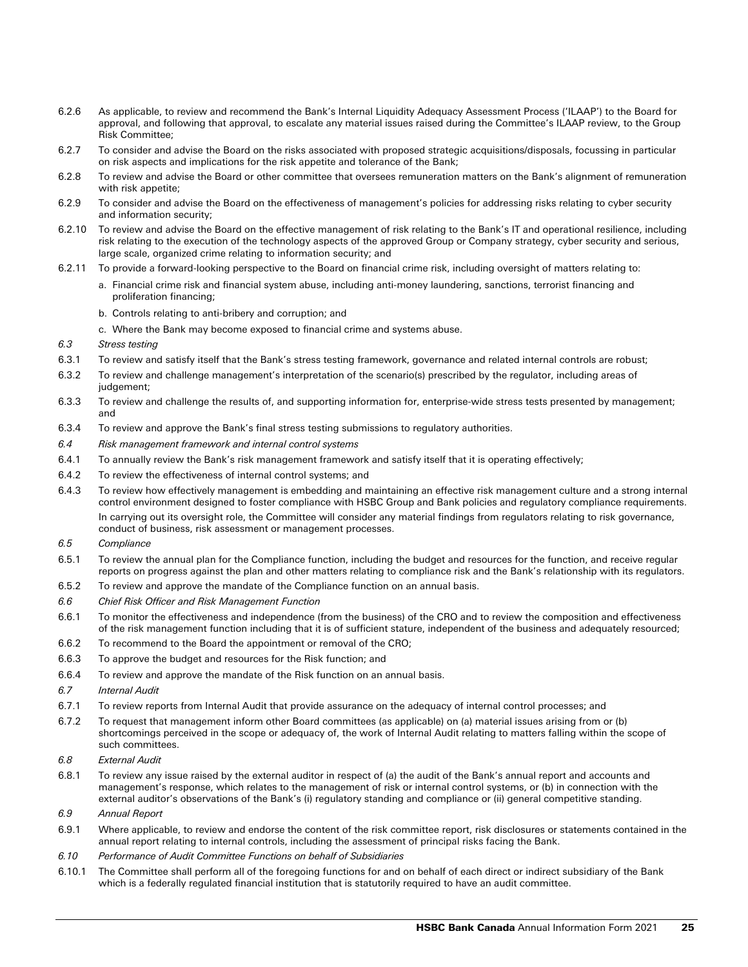- 6.2.6 As applicable, to review and recommend the Bank's Internal Liquidity Adequacy Assessment Process ('ILAAP') to the Board for approval, and following that approval, to escalate any material issues raised during the Committee's ILAAP review, to the Group Risk Committee;
- 6.2.7 To consider and advise the Board on the risks associated with proposed strategic acquisitions/disposals, focussing in particular on risk aspects and implications for the risk appetite and tolerance of the Bank;
- 6.2.8 To review and advise the Board or other committee that oversees remuneration matters on the Bank's alignment of remuneration with risk appetite;
- 6.2.9 To consider and advise the Board on the effectiveness of management's policies for addressing risks relating to cyber security and information security;
- 6.2.10 To review and advise the Board on the effective management of risk relating to the Bank's IT and operational resilience, including risk relating to the execution of the technology aspects of the approved Group or Company strategy, cyber security and serious, large scale, organized crime relating to information security; and
- 6.2.11 To provide a forward-looking perspective to the Board on financial crime risk, including oversight of matters relating to:
	- a. Financial crime risk and financial system abuse, including anti-money laundering, sanctions, terrorist financing and proliferation financing;
	- b. Controls relating to anti-bribery and corruption; and
	- c. Where the Bank may become exposed to financial crime and systems abuse.
- *6.3 Stress testing*
- 6.3.1 To review and satisfy itself that the Bank's stress testing framework, governance and related internal controls are robust;
- 6.3.2 To review and challenge management's interpretation of the scenario(s) prescribed by the regulator, including areas of judgement;
- 6.3.3 To review and challenge the results of, and supporting information for, enterprise-wide stress tests presented by management; and
- 6.3.4 To review and approve the Bank's final stress testing submissions to regulatory authorities.
- *6.4 Risk management framework and internal control systems*
- 6.4.1 To annually review the Bank's risk management framework and satisfy itself that it is operating effectively;
- 6.4.2 To review the effectiveness of internal control systems; and
- 6.4.3 To review how effectively management is embedding and maintaining an effective risk management culture and a strong internal control environment designed to foster compliance with HSBC Group and Bank policies and regulatory compliance requirements. In carrying out its oversight role, the Committee will consider any material findings from regulators relating to risk governance, conduct of business, risk assessment or management processes.
- *6.5 Compliance*
- 6.5.1 To review the annual plan for the Compliance function, including the budget and resources for the function, and receive regular reports on progress against the plan and other matters relating to compliance risk and the Bank's relationship with its regulators.
- 6.5.2 To review and approve the mandate of the Compliance function on an annual basis.
- *6.6 Chief Risk Officer and Risk Management Function*
- 6.6.1 To monitor the effectiveness and independence (from the business) of the CRO and to review the composition and effectiveness of the risk management function including that it is of sufficient stature, independent of the business and adequately resourced;
- 6.6.2 To recommend to the Board the appointment or removal of the CRO;
- 6.6.3 To approve the budget and resources for the Risk function; and
- 6.6.4 To review and approve the mandate of the Risk function on an annual basis.
- *6.7 Internal Audit*
- 6.7.1 To review reports from Internal Audit that provide assurance on the adequacy of internal control processes; and
- 6.7.2 To request that management inform other Board committees (as applicable) on (a) material issues arising from or (b) shortcomings perceived in the scope or adequacy of, the work of Internal Audit relating to matters falling within the scope of such committees.
- *6.8 External Audit*
- 6.8.1 To review any issue raised by the external auditor in respect of (a) the audit of the Bank's annual report and accounts and management's response, which relates to the management of risk or internal control systems, or (b) in connection with the external auditor's observations of the Bank's (i) regulatory standing and compliance or (ii) general competitive standing.
- *6.9 Annual Report*
- 6.9.1 Where applicable, to review and endorse the content of the risk committee report, risk disclosures or statements contained in the annual report relating to internal controls, including the assessment of principal risks facing the Bank.
- *6.10 Performance of Audit Committee Functions on behalf of Subsidiaries*
- 6.10.1 The Committee shall perform all of the foregoing functions for and on behalf of each direct or indirect subsidiary of the Bank which is a federally regulated financial institution that is statutorily required to have an audit committee.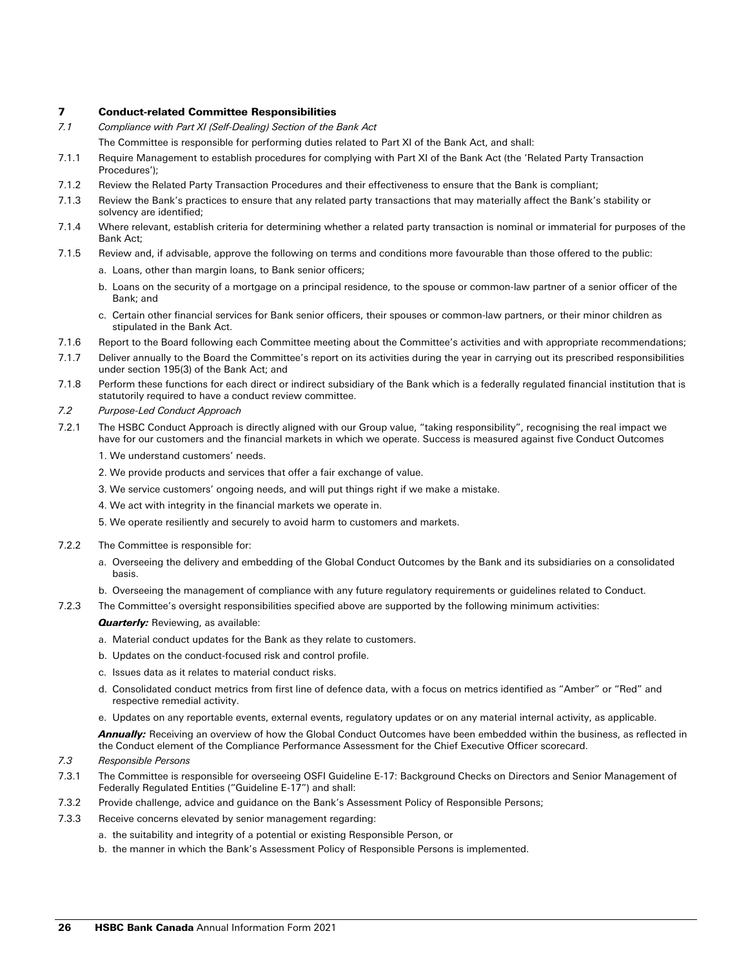## 7 Conduct-related Committee Responsibilities

*7.1 Compliance with Part XI (Self-Dealing) Section of the Bank Act*

The Committee is responsible for performing duties related to Part XI of the Bank Act, and shall:

- 7.1.1 Require Management to establish procedures for complying with Part XI of the Bank Act (the 'Related Party Transaction Procedures');
- 7.1.2 Review the Related Party Transaction Procedures and their effectiveness to ensure that the Bank is compliant;
- 7.1.3 Review the Bank's practices to ensure that any related party transactions that may materially affect the Bank's stability or solvency are identified;
- 7.1.4 Where relevant, establish criteria for determining whether a related party transaction is nominal or immaterial for purposes of the Bank Act;
- 7.1.5 Review and, if advisable, approve the following on terms and conditions more favourable than those offered to the public:
	- a. Loans, other than margin loans, to Bank senior officers;
	- b. Loans on the security of a mortgage on a principal residence, to the spouse or common-law partner of a senior officer of the Bank; and
	- c. Certain other financial services for Bank senior officers, their spouses or common-law partners, or their minor children as stipulated in the Bank Act.
- 7.1.6 Report to the Board following each Committee meeting about the Committee's activities and with appropriate recommendations;
- 7.1.7 Deliver annually to the Board the Committee's report on its activities during the year in carrying out its prescribed responsibilities under section 195(3) of the Bank Act; and
- 7.1.8 Perform these functions for each direct or indirect subsidiary of the Bank which is a federally regulated financial institution that is statutorily required to have a conduct review committee.
- *7.2 Purpose-Led Conduct Approach*
- 7.2.1 The HSBC Conduct Approach is directly aligned with our Group value, "taking responsibility", recognising the real impact we have for our customers and the financial markets in which we operate. Success is measured against five Conduct Outcomes
	- 1. We understand customers' needs.
	- 2. We provide products and services that offer a fair exchange of value.
	- 3. We service customers' ongoing needs, and will put things right if we make a mistake.
	- 4. We act with integrity in the financial markets we operate in.
	- 5. We operate resiliently and securely to avoid harm to customers and markets.
- 7.2.2 The Committee is responsible for:
	- a. Overseeing the delivery and embedding of the Global Conduct Outcomes by the Bank and its subsidiaries on a consolidated basis.
	- b. Overseeing the management of compliance with any future regulatory requirements or guidelines related to Conduct.
- 7.2.3 The Committee's oversight responsibilities specified above are supported by the following minimum activities:

## *Quarterly:* Reviewing, as available:

- a. Material conduct updates for the Bank as they relate to customers.
- b. Updates on the conduct-focused risk and control profile.
- c. Issues data as it relates to material conduct risks.
- d. Consolidated conduct metrics from first line of defence data, with a focus on metrics identified as "Amber" or "Red" and respective remedial activity.
- e. Updates on any reportable events, external events, regulatory updates or on any material internal activity, as applicable.

**Annually:** Receiving an overview of how the Global Conduct Outcomes have been embedded within the business, as reflected in the Conduct element of the Compliance Performance Assessment for the Chief Executive Officer scorecard.

- *7.3 Responsible Persons*
- 7.3.1 The Committee is responsible for overseeing OSFI Guideline E-17: Background Checks on Directors and Senior Management of Federally Regulated Entities ("Guideline E-17") and shall:
- 7.3.2 Provide challenge, advice and guidance on the Bank's Assessment Policy of Responsible Persons;
- 7.3.3 Receive concerns elevated by senior management regarding:
	- a. the suitability and integrity of a potential or existing Responsible Person, or
	- b. the manner in which the Bank's Assessment Policy of Responsible Persons is implemented.